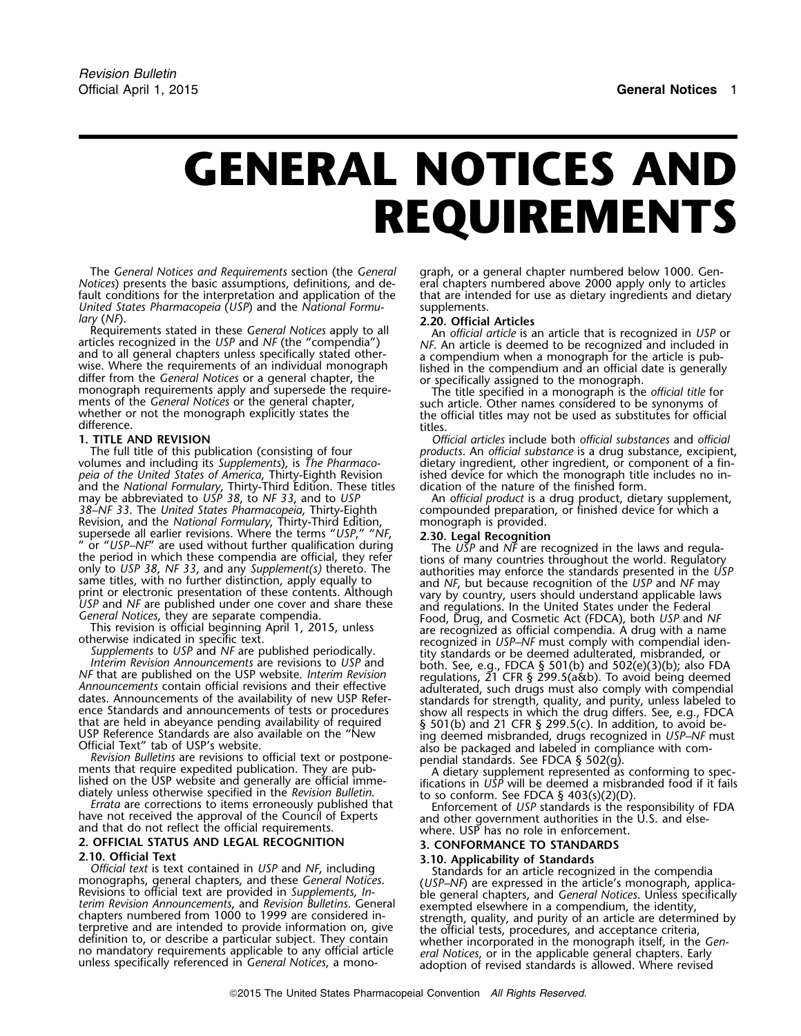# **GENERAL NOTICES AND REQUIREMENTS**

The *General Notices and Requirements* section (the *General* graph, or a general chapter numbered below 1000. Genfault conditions for the interpretation and application of the that are inten<br>United States Pharmacopeia (USP) and the National Formu-<br>supplements. *United States Pharmacopeia* (*USP*) and the *National Formu-*<br>lary (NF).

*lary* (*NF*). **2.20. Official Articles** Requirements stated in these *General Notices* apply to all An *official article* is an article that is recognized in *USP* or articles recognized in the *USP* and *NF* (the "compendia") MF An article is deemed to be recog articles recognized in the USP and NF (the "compendia") NF. An article is deemed to be recognized and included in<br>and to all general chapters unless specifically stated other-<br>wise. Where the requirements of an individual monograph requirements apply and supersede the require-<br>ments of the *General Notices* or the general chapter,<br>such article. Other names considered to be synonyms of whether or not the monograph explicitly states the the official titles may not be used as substitutes for official difference.

volumes and including its *Supplements*), is *The Pharmaco-* dietary ingredient, other ingredient, or component of a fin*peia of the United States of America*, Thirty-Eighth Revision ished device for which the monograph title includes no inand the *National Formulary*, Thirty-Third Edition. These titles dication of the nature of the finished form. may be abbreviated to *USP 38*, to *NF 33*, and to *USP* An *official product* is a drug product, dietary supplement, may be abbreviated to USP 38, to NF 33, and to USP and *Same afficial product* is a drug product, dietary supplement,<br>
38–NF 33. The *United States Pharmacopeia*, Thirty-Eighth compounded preparation, or finished device fo Revision, and the *National Formulary*, Thirty-Third Edition, supersede all earlier revisions. Where the terms "USP," "NF, " or "USP," are used with a state of the terms of the terms of the terms of the terms of the state supersede all earlier revisions. Where the terms "USP," "NF,<br>
" or "USP-NF" are used without further qualification during<br>
the USP and NF are recognized in the laws and regula-<br>
tions of many countries throughout the worl same titles, with no further distinction, apply equally to and *NF*, but because recognition of the *USP* and *NF* may

diately unless otherwise specified in the *Revision Bulletin*.<br> *Errata* are corrections to items erroneously published that<br>
have not received the approval of the Council of Experts<br>
and other government authorities in th

### **2. OFFICIAL STATUS AND LEGAL RECOGNITION 3. CONFORMANCE TO STANDARDS**

**2.10. Official Text**<br> *Official text* is text contained in *USP* and *NF*, including **2.10. Applicability of Standards**<br> *Standards* for an article recognized in the compendia<br> *(USP–NF)* are expressed in the article's mo monographs, general chapters, and these *General Notices.* (USP–NF) are expressed in the article's monograph, applica-<br>Revisions to official text are provided in *Supplements*, *In*-<br>*terim Revision Announcements*, and *Re* 

*Pral chapters numbered above 2000 apply only to articles*<br>that are intended for use as dietary ingredients and dietary

**1. TITLE AND REVISION** *Official articles* include both *official substances* and *official* The full title of this publication (consisting of four *products*. An *official substance* is a drug substance, excipient,

print or electronic presentation of these contents. Although USP and NF are published under one cover and share these und regulations. In the United States under the Federal General Notices, they are separate compendia.<br>Ce otherwise indicated in specific text.<br>
Supplements to USP and NF are published periodically.<br>
Interim Revision announcements are revisions to USP and<br>
NF that are published on the USP website. Interim Revision<br>
NF that are

Revision Bulletins are revisions to official text or postpone-<br>ments that require expedited publication. They are pub-<br>lished on the USP website and generally are official imme-<br>diately unless otherwise specified in the Re

definition to, or describe a particular subject. They contain whether incorporated in the monograph itself, in the Genno mandatory requirements applicable to any official article eral Notices, or in the applicable general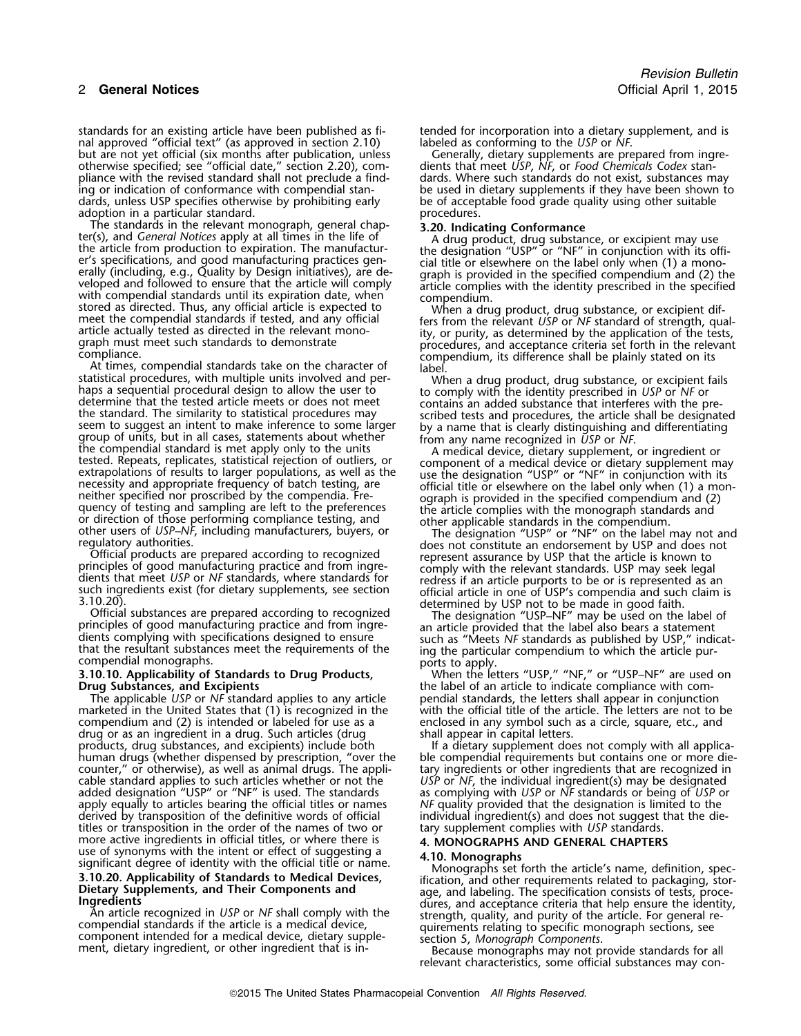standards for an existing article have been published as fi-<br>
nal approved "official text" (as approved in section 2.10) labeled as conforming to the USP or NF. nal approved "official text" (as approved in section 2.10) but are not yet official (six months after publication, unless otherwise specified; see "official date," section 2.20), com- dients that meet *USP*, *NF*, or *Food Chemicals Codex* stanpliance with the revised standard shall not preclude a find- dards. Where such standards do not exist, substances may adoption in a particular standard.<br>The standards in the relevant monograph, general chap-

The standards in the relevant monograph, general chap-<br>ter(s), and *General Notices* apply at all times in the life of<br>the article from production to expiration. The manufactur-<br>er's specifications, and good manufacturing er's specifications, and good manufacturing practices gen-<br>erally (including, e.g., Quality by Design initiatives), are de-<br>veloped and followed to ensure that the article will comply<br>with compendial standards until its ex

At times, compendial standards take on the character of label<br>statistical procedures, with multiple units involved and perstatistical procedures, with multiple units involved and per-<br>haps a sequential procedural design to allow the user to the comply with the identity prescribed in USP or NF<br>determine that the tested article meets or does no the standard. The similarity to statistical procedures may<br>seem to suggest an intent to make inference to some larger<br>by a name that is clearly distinguishing and differentiating<br>group of units, but in all cases, statement The compendial standard is met apply only to the units<br>tested. Repeats, replicates, statistical rejection of outliers, or<br>extrapolations of results to larger populations, as well as the<br>necessity and appropriate frequency or direction of those performing compliance testing, and<br>other users of USP-NF, including manufacturers, buyers, or<br>requlatory authorities.<br>The designation "USP" or "NF" on the label may not and<br>requlatory authorities.<br> $\frac$ 

compendial monographs. example the matrice of the ports to apply.<br>3.10.10. Applicability of Standards to Drug Products, examply when the le

marketed in the United States that (1) is recognized in the with the official title of the article. The letters are not to be compendium and (2) is intended or labeled for use as a enclosed in any symbol such as a circle, drug or as an ingredient in a drug. Such articles (drug shall appear in capital letters.<br>
products, drug substances, and excipients) include both state of a dietary supplement doe human drugs (whether dispensed by prescription, "over the ble compendial requirements but contains one or more die-<br>counter," or otherwise), as well as animal drugs. The appli-<br>ary ingredients or other ingredients that are counter," or otherwise), as well as animal drugs. The applicable standard applies to such articles whether or not the added designation "USP" or "NF" is used. The standards cable standard applies to such articles whether or not the *USP* or *NF*, the individual ingredient(s) may be designated added designation "USP" or "NF" is used. The standards as complying with *USP* or *NF* standards or being of *USP* or apply equally to articles bearing the official titles or names *NF* quality provided that the designation is limited to the derived by transposition of the definitive words of official individual ingredient(s) and does not suggest that the die-<br>titles or transposition in the order of the names of two or tary supplement complies with  $USP$  stand titles or transposition in the order of the names of two or more active ingredients in official titles, or where there is **4. MONOGRAPHS AND GENERAL CHAPTERS**

Generally, dietary supplements are prepared from ingre-<br>dients that meet USP, NF, or Food Chemicals Codex staning or indication of conformance with compendial stan-<br>
dards, unless USP specifies otherwise by prohibiting early be of acceptable food grade quality using other suitable be of acceptable food grade quality using other suitable procedures.

article actually tested as directed in the relevant mono-<br>graph must meet such standards to demonstrate procedures, and acceptance criteria set forth in the relevant<br>compliance.<br>compendium, its difference shall be plainly

gulatory authorities.<br>Official products are prepared according to recognized epergent assurance by USP that the article is known to<br>inciples of good manufacturing practice and from ingre-<br>comply with the relevant standards principles of good manufacturing practice and from ingre-<br>dients that meet USP or NF standards, where standards for<br>such ingredients exist (for dietary supplements, see section<br>and redress if an article purports to be or i

dients complying with specifications designed to ensure<br>that the resultant substances meet the requirements of the ling the particular compendium to which the article pur-

**3.10.10. Applicability of Standards to Drug Products,** When the letters "USP," "NF," or "USP–NF" are used on **Drug Substances, and Excipients Drug Products**, **the label of an article to indicate compliance with com-Drug Substances, and Excipients Drug Substances, and Excipients the label of an article to indicate compliance with com-**<br>The applicable USP or NF standard applies to any article **the pendial standards, the letters sh** The applicable *USP* or *NF* standard applies to any article pendial standards, the letters shall appear in conjunction marketed in the United States that (1) is recognized in the with the official title of the article. Th enclosed in any symbol such as a circle, square, etc., and

If a dietary supplement does not comply with all applica-<br>ble compendial requirements but contains one or more die-

use of synonyms with the intent or effect of suggesting a<br>significant degree of identity with the official title or name.<br>**3.10.20. Applicability of Standards to Medical Devices,**<br>**3.10.20. Applicability of Standards to Me** An article recognized in USP or NF shall comply with the<br>compendial standards if the article is a medical device,<br>component intended for a medical device, dietary supple-<br>section 5, Monograph Components.

ment, dietary ingredient, or other ingredient that is in-<br>Because monographs may not provide standards for all relevant characteristics, some official substances may con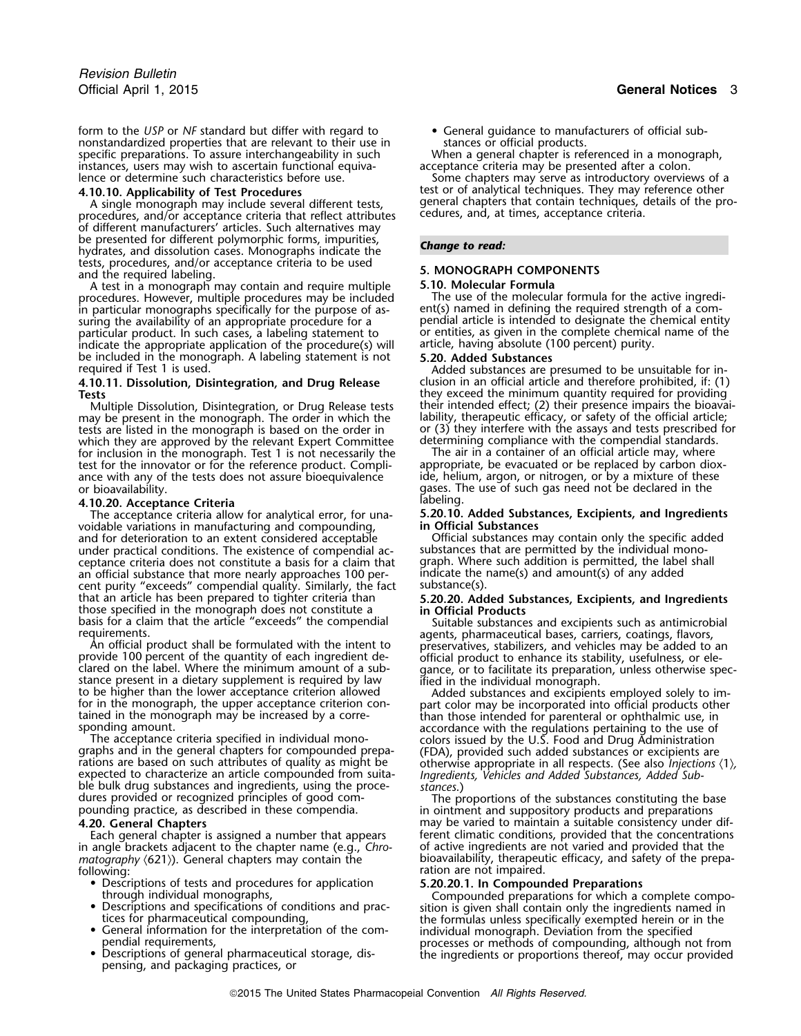form to the *USP* or *NF* standard but differ with regard to  $\bullet$  General guidance to manufacturers of official sub-<br>nonstandardized properties that are relevant to their use in stances or official products. nonstandardized properties that are relevant to their use in specific preparations. To assure interchangeability in such instances, users may wish to ascertain functional equiva-<br>lence or determine such characteristics before use.

procedures, and/or acceptance criteria that reflect attributes of different manufacturers' articles. Such alternatives may be presented for different polymorphic forms, impurities, *Change to read:* hydrates, and dissolution cases. Monographs indicate the tests, procedures, and/or acceptance criteria to be used<br>and the required labeling.<br>A test in a monograph may contain and require multiple 5.10. Molecular Formula

A test in a monograph may contain and require multiple **5.10. Molecular Formula** procedures. However, multiple procedures may be included line use of the molecular formula for the active ingredi-<br>In particular monographs specifically for the purpose of as-<br>ent(s) named in defining the required strength in particular monographs specifically for the purpose of as- ent(s) named in defining the required strength of a comsuring the availability of an appropriate procedure for a particular product. In such cases, a labeling statement to or entities, as given in the complete chemical name of the<br>indicate the appropriate application of the procedure(s) will article, having absolute (100 percent) pur indicate the appropriate application of the procedure(s) will be included in the monograph. A labeling statement is not **5.20. Added Substances**

## **4.10.11. Dissolution, Disintegration, and Drug Release**

may be present in the monograph. The order in which the lability, therapeutic efficacy, or safety of the official article;<br>tests are listed in the monograph is based on the order in lets or (3) they interfere with the assa tests are listed in the monograph is based on the order in or (3) they interfere with the assays and tests prescribed<br>which they are approved by the relevant Expert Committee determining compliance with the compendial stan which they are approved by the relevant Expert Committee determining compliance with the compendial standards.<br>For inclusion in the monograph. Test 1 is not necessarily the The air in a container of an official article may for inclusion in the monograph. Test 1 is not necessarily the The air in a container of an official article may, where<br>test for the innovator or for the reference product. Compli-<br>appropriate, be evacuated or be replaced b test for the innovator or for the reference product. Compli-<br>ance with any of the tests does not assure bioequivalence ide, helium, argon, or nitrogen, or by a mixture of these ance with any of the tests does not assure bioequivalence or bioavailability.

**4.10.20. Acceptance Criteria**<br>The acceptance criteria allow for analytical error, for unavoidable variations in manufacturing and compounding, **in Official Substances** and for deterioration to an extent considered acceptable **Official substances may contain only the specific added under process** under practical conditions. The existence of compendial ac-<br>under practical conditions. The e under practical conditions. The existence of compendial ac-<br>ceptance criteria does not constitute a basis for a claim that graph. Where such addition is permitted, the label shall ceptance criteria does not constitute a basis for a claim that graph. Where such addition is permitted, the label<br>an official substance that more nearly approaches 100 per-<br>indicate the name(s) and amount(s) of any added an official substance that more nearly approaches 100 per- indicate the name(s) and amount(s) of any added cent purity "exceeds" compendial quality. Similarly, the fact substance(s). that an article has been prepared to tighter criteria than **5.20.20. Added Substances, Excipients, and Ingredients** those specified in the monograph does not constitute a **in Official Products**

An official product shall be formulated with the intent to preservatives, stabilizers, and vehicles may be added to an provide 100 percent of the quantity of each ingredient de-<br>official product to enhance its stability, u provide 100 percent of the quantity of each ingredient de-<br>clared on the label. Where the minimum amount of a sub-<br>stance present in a dietary supplement is required by law<br>to be higher than the lower acceptance criterion

rations are based on such attributes of quality as might be cherwise appropriate in all respects. (See also *Injections*  $\langle 1 \rangle$ , expected to characterize an article compounded from suita-<br>Ingredients, Vehicles and Added ble bulk drug substances and ingredients, using the proce-<br>dures provided or recognized principles of good com-<br>pounding practice, as described in these compendia.<br>in ointment and suppository products and preparations

in angle brackets adjacent to the chapter name (e.g., *Chro-matography*  $(621)$ ). General chapters may contain the following: following: following: following: following: for application ration are not impaired.<br>• Descriptions of tests and procedures for application **5.20.20.1. In Compounded Preparations** 

- •
- •
- General information for the interpretation of the com- individual monograph. Deviation from the specified
- •pensing, and packaging practices, or
- Official April 1, 2015 **General Notices** 3
	-
	- When a general chapter is referenced in a monograph, acceptance criteria may be presented after a colon.

Some chapters may serve as introductory overviews of a **4.10.10. Applicability of Test Procedures** test or of analytical techniques. They may reference other<br>A single monograph may include several different tests, general chapters that contain techniques, details of the pr general chapters that contain techniques, details of the pro-<br>cedures, and, at times, acceptance criteria.

Added substances are presumed to be unsuitable for in-<br>clusion in an official article and therefore prohibited, if:  $(1)$ **Tests**<br>Multiple Dissolution, Disintegration, or Drug Release tests their intended effect; (2) their presence impairs the bioavai-Multiple Dissolution, Disintegration, or Drug Release tests their intended effect; (2) their presence impairs the bioava<br>ay be present in the monograph. The order in which the lability, therapeutic efficacy, or safety of t

gases. The use of such gas need not be declared in the labeling.

## 5.20.10. Added Substances, Excipients, and Ingredients in Official Substances

basis for a claim that the article "exceeds" the compendial Suitable substances and excipients such as antimicrobial<br>
requirements. coatings, flavors,

sponding amount.<br>The acceptance criteria specified in individual mono-<br>graphs and in the general chapters for compounded prepa- (FDA), provided such added substances or excipients are

in ointment and suppository products and preparations **4.20. General Chapters** may be varied to maintain a suitable consistency under dif-Each general chapter is assigned a number that appears ferent climatic conditions, provided that the concentration<br>angle brackets adjacent to the chapter name (e.g., *Chro*-of active ingredients are not varied and provided bioavailability, therapeutic efficacy, and safety of the prepa-

through individual monographs,<br>Descriptions and specifications of conditions and prac-<br>sition is given shall contain only the ingredients named in tices for pharmaceutical compounding,<br>
Description is given the interpretation of the com-<br>
Seneral information for the interpretation of the com-<br>
individual monograph. Deviation from the specified pendial requirements,<br>Descriptions of general pharmaceutical storage, dis-<br>the ingredients or proportions thereof, may occur provided the ingredients or proportions thereof, may occur provided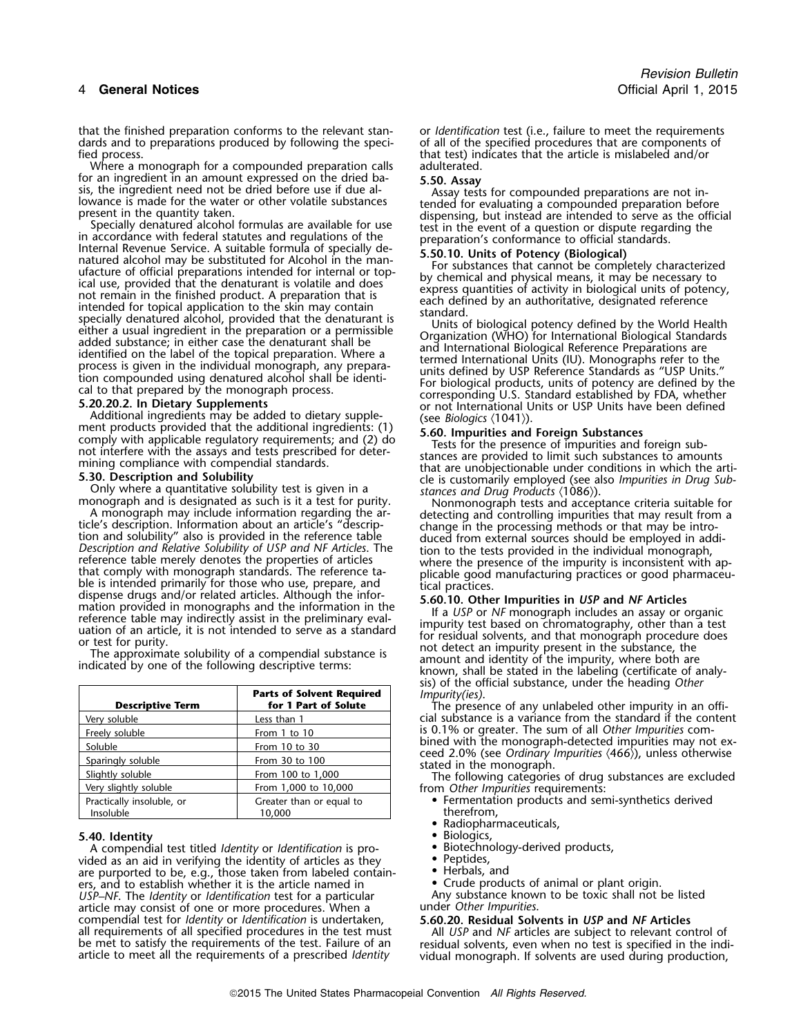that the finished preparation conforms to the relevant stan-<br>dards and to preparations produced by following the speci-<br>of all of the specified procedures that are components of dards and to preparations produced by following the speci-<br>fied process.

Where a monograph for a compounded preparation calls for an ingredient in an amount expressed on the dried bafor an ingredient in an amount expressed on the dried ba-<br>sis, the ingredient need not be dried before use if due al-<br>lowance is made for the water or other volatile substances<br>present in the quantity taken.<br>dispensing but

Specially denatured alcohol formulas are available for use<br>
in accordance with federal statutes and regulations of the<br>
Internal Revenue Service. A suitable formula of specially de-<br>
Internal Revenue Service. A suitable fo

Additional ingredients may be added to dietary supple-<br>
ment products provided that the additional ingredients: (1)<br>
comply with applicable regulatory requirements; and (2) do<br>
not interfere with the assays and tests presc

monograph and is designated as such is it a test for purity.<br>
A momonograph tests and acceptance criteria suitable for<br>  $\frac{1}{2}$  Mommonograph may include information regarding the art-<br>
ticle's description. Information b

| <b>Descriptive Term</b>                | <b>Parts of Solvent Required</b><br>for 1 Part of Solute |  |  |  |  |
|----------------------------------------|----------------------------------------------------------|--|--|--|--|
| Very soluble                           | Less than 1                                              |  |  |  |  |
| Freely soluble                         | From 1 to 10                                             |  |  |  |  |
| Soluble                                | From 10 to 30                                            |  |  |  |  |
| Sparingly soluble                      | From 30 to 100                                           |  |  |  |  |
| Slightly soluble                       | From 100 to 1,000                                        |  |  |  |  |
| Very slightly soluble                  | From 1,000 to 10,000                                     |  |  |  |  |
| Practically insoluble, or<br>Insoluble | Greater than or equal to<br>10.000                       |  |  |  |  |

**5.40. Identity**<br>A compendial test titled *Identity* or *Identification* is pro-A compendial test titled *Identity* or *Identification* is pro- • • Biotechnology-<br>In the as an aid in verifying the identity of articles as they **•** Peptides, vided as an aid in verifying the identity of articles as they **•** Peptides, are purported to be, e.g., those taken from labeled contain-**•** Herbals, and are purported to be, e.g., those taken from labeled contain-<br>ers, and to establish whether it is the article named in • Crude products of animal or plant origin. ers, and to establish whether it is the article named in • Crude products of animal or plant origin. *USP–NF*. The *Identity* or *Identification* test for a particular Any substance known to be toxic shall not be listed article may consist of one or more procedures. When a under *Other Impurities*. compendial test for *Identity* or *Identification* is undertaken, **5.60.20. Residual Solvents in** *USP* **and** *NF* **Articles** be met to satisfy the requirements of the test. Failure of an residual solvents, even when no test is specified in the indi-<br>article to meet all the requirements of a prescribed *Identity* vidual monograph. If solvents are

that test) indicates that the article is mislabeled and/or adulterated.

esent in the quantity taken.<br>Specially denatured alcohol formulas are available for use exact in the event of a question or dispute regarding the

Frequence of the phease of the specially denatured alcohol, provided that the denaturant is<br>either a usual ingredient in the preparation or a permissible<br>added substance; in either case the denaturant shall be<br>identified o

sis) of the official substance, under the heading *Other Impurity(ies).* 

The presence of any unlabeled other impurity in an official substance is a variance from the standard if the content is 0.1% or greater. The sum of all *Other Impurities* com-<br>bined with the monograph-detected impurities may not exceed 2.0% (see Ordinary Impurities  $\langle 466 \rangle$ ), unless otherwise<br>stated in the monograph.<br>The following categories of drug substances are excluded

from Other *Impurities* requirements:

- Fermentation products and semi-synthetics derived therefrom,
- •Radiopharmaceuticals,
- 
- 
- 
-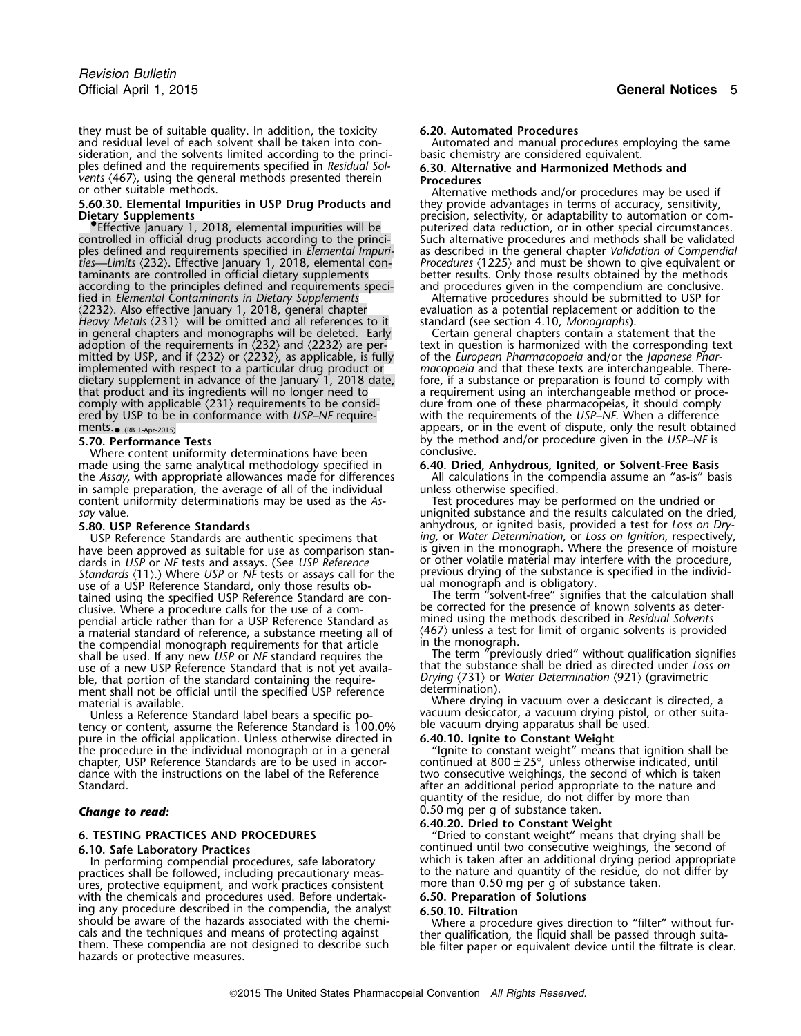they must be of suitable quality. In addition, the toxicity **6.20. Automated Procedures** sideration, and the solvents limited according to the principles defined and the requirements specified in *Residual Sol-* **6.30. Alternative and Harmonized Methods and** *vents*  $\langle 467 \rangle$ , using the general methods presented therein **Procedures**<br>or other suitable methods.

**Controlled in official drug products according to the princi-** buterized data reduction, or in other special circumstances.<br>
controlled in official drug products according to the princi-<br>
ples defined and requirements spe ties—Limits (232). Effective January 1, 2018, elemental con-<br>
taminants are controlled in official dietary supplements<br>
according to the principles defined and requirements speci-<br>
and procedures given in the compendium ar according to the principles defined and requirements speci-<br>fied in *Elemental Contaminants in Dietary Supplements* 〈2232〉. Also effective January 1, 2018, general chapter \_\_\_\_\_\_\_\_\_\_evaluation as a potential replacement or addition to the *Heavy Metals* 〈231〉 will be omitted and all references to it standard (see section 4.10, *Monographs*). in general chapters and monographs will be deleted. Early certain general chapters contain a statement that the<br>The doption of the requirements in (232) and (2232) are per-charactering question is harmonized with the corre adoption of the requirements in 〈232〉 and 〈2232〉 are per- text in question is harmonized with the corresponding text mitted by USP, and if 〈232〉 or 〈2232〉, as applicable, is fully of the *European Pharmacopoeia* and/or the *Japanese Phar*implemented with respect to a particular drug product or *macopoeia* and that these texts are interchangeable. Theredietary supplement in advance of the January 1, 2018 date, that product and its ingredients will no longer need to a requirement using an interchangeable method or proce-<br>comply with applicable  $\langle 231 \rangle$  requirements to be consid- dure from one of these pharmacopeias, it should c comply with applicable  $(231)$  requirements to be considered by USP to be in conformance with *USP-NF* requirements.● (RB 1-Apr-2015)

Where content uniformity determinations have been conclusive.<br>ade using the same analytical methodology specified in **6.40. Dried, Anhydrous, Ignited, or Solvent-Free Basis** made using the same analytical methodology specified in the *Assay*, with appropriate allowances made for differences All calculations in the compendia assume an "as-is" basis in sample preparation, the average of all of the individual unless otherwise specified.<br>
content uniformity determinations may be used as the As-<br>
Test procedures may be performed on the undried or content uniformity determinations may be used as the As*say* value. unignited substance and the results calculated on the dried,

have been approved as suitable for use as comparison stan-<br>dards in USP or NF tests and assays. (See USP Reference or other volatile material may interfere with the procedure, *Standards* (11). Where *USP* or *NF* tests or assays call for the previous drying of the substance is use of a USP Reference Standard, only those results obuse of a USP Reference Standard, only those results ob-<br>tained using the specified USP Reference Standard are con-<br>The term "solvent-free" signifies that the calculation shall tained using the specified USP Reference Standard are con-<br>Clusive Where a procedure calls for the use of a com-<br>be corrected for the presence of known solvents as deterclusive. Where a procedure calls for the use of a com-<br>pendial article rather than for a USP Reference Standard as mined using the methods described in Residual Solvents pendial article rather than for a USP Reference Standard as mined using the methods described in *Residual Solvents* a material standard of reference, a substance meeting all of  $\langle 467 \rangle$  unless a test the compendial monograph requirements for that article in the monograph. in the compendial monograph requirements for the monograph requires the shall be used. If any new *USP* or *NF* standard requires the substance shall be dried as directed under Loss on signifies shall be use of a new *USP* use of a new USP Reference Standard that is not yet availa-<br>ble, that portion of the standard containing the require-<br>*Drying*  $\langle 731 \rangle$  or *Water Determination*  $\langle 921 \rangle$  (gravimetric ble, that portion of the standard containing the require- *Drying*  $\langle$ /31) or ment shall not be official until the specified USP reference determination). ment shall not be official until the specified USP reference material is available.

tency or content, assume the Reference Standard is 100.0% ble vacuum drying apparatus shall be pure in the official application. Unless otherwise directed in  $\overline{6.40.10}$ . Ignite to Constant Weight pure in the official application. Unless otherwise directed in **6.40.10. Ignite to Constant Weight** the procedure in the individual monograph or in a general "Ignite to constant weight" means that ignition shall be chapter, USP Reference Standards are to be used in accor-<br>continued at  $800 \pm 25^{\circ}$ , unless otherwise in chapter, USP Reference Standards are to be used in accor-<br>dance with the instructions on the label of the Reference dance with the instructions on the label of the Reference two consecutive weighings, the second of which is taken<br>Standard. Standard second of which is taken

practices shall be followed, including precautionary meas-<br>ures, protective equipment, and work practices consistent more than 0.50 mg per g of substance taken. ures, protective equipment, and work practices consistent more than 0.50 mg per g or sure<br>with the chemicals and procedures used. Before undertak- 6.50. Preparation of Solutions with the chemicals and procedures used. Before undertaking any procedure described in the compendia, the analyst **6.50.10. Filtration** should be aware of the hazards associated with the chemi-<br>cals and the techniques and means of protecting against<br>them. These compendia are not designed to describe such<br>hazards or protective measures.<br>hazards or protectiv

Automated and manual procedures employing the same<br>basic chemistry are considered equivalent.

or other suitable methods.<br>**5.60.30. Elemental Impurities in USP Drug Products and** they provide advantages in terms of accuracy, sensitivity, they provide advantages in terms of accuracy, sensitivity, Dietary Supplements<br> **Dietary Supplements**<br> **Dietary Supplements**<br> **Ceffective January 1, 2018, elemental impurities will be puterized data reduction, or in other special circumstances.<br>
Controlled in official drug product** ples defined and requirements specified in *Elemental Impuri-* as described in the general chapter *Validation of Compendial Procedures*  $\langle 1225 \rangle$  and must be shown to give equivalent or

fied in *Elemental Contaminants in Dietary Supplements* Alternative procedures should be submitted to USP for

with the requirements of the *USP–NF*. When a difference appears, or in the event of dispute, only the result obtained **5.70. Performance Tests** by the method and/or procedure given in the *USP–NF* is Where content uniformity determinations have been conclusive.

**5.80. USP Reference Standards** anhydrous, or ignited basis, provided a test for *Loss on Dry-*USP Reference Standards are authentic specimens that *ing*, or *Water Determination*, or *Loss on Ignition*, respectively, or other volatile material may interfere with the procedure, previous drying of the substance is specified in the individ-

Where drying in vacuum over a desiccant is directed, a Unless a Reference Standard label bears a specific po- vacuum desiccator, a vacuum drying pistol, or other suita-<br>ncy or content, assume the Reference Standard is 100.0% ble vacuum drying apparatus shall be used.

after an additional period appropriate to the nature and quantity of the residue, do not differ by more than **Change to read:** Change **Change to read:** 0.50 mg per g of substance taken.

### **6.40.20. Dried to Constant Weight**

**6. TESTING PRACTICES AND PROCEDURES** "Dried to constant weight" means that drying shall be **6.10. Safe Laboratory Practices** continued until two consecutive weighings, the second of 6.10. Safe Laboratory Practices<br>In performing compendial procedures, safe laboratory which is taken after an additional drying period appropriate<br>to the nature and quantity of the residue, do not differ by<br>to the nature an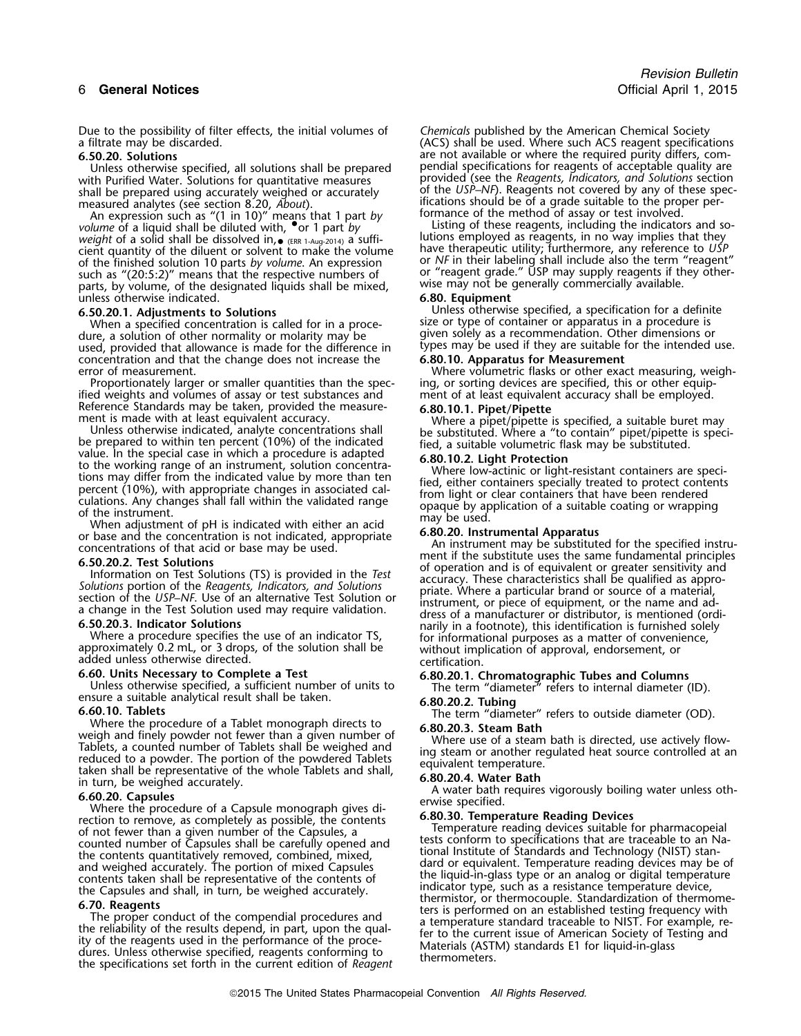### 6 **General Notices** Official April 1, 2015

Due to the possibility of filter effects, the initial volumes of *Chemicals* published by the American Chemical Society

Unless otherwise specified, all solutions shall be prepared with Purified Water. Solutions for quantitative measures shall be prepared using accurately weighed or accurately measured analytes (see section 8.20, *About*).

An expression such as "(1 in 10)" means that 1 par<sup>t</sup>*by* formance of the method of assay or test involved. *volume* of a liquid shall be diluted with, •or 1 part by the straing of these reagents, including the indicators and so*weight* of a solid shall be dissolved in, e <sub>(ERR 1-Aug-2014)</sub> a suffi- **butions employed as reagents, in no way implies that they** cient quantity of the diluent or solvent to make the volume have therapeutic utility; furthermore, any reference to *USP* of the finished solution 10 parts *by volume*. An expression or *NF* in their labeling shall include also the term "reagent" such as "(20:5:2)" means that the respective numbers of state or "reagent grade." USP may supply reagents if they otherparts, by volume, of the designated liquids shall be mixed, wise may not be generally commercially available. unless otherwise indicated. **6.80. Equipment**

When a specified concentration is called for in a procedure, a solution of other normality or molarity may be given solely as a recommendation. Other dimensions or used, provided that allowance is made for the difference in types may be used if they are suitable for the intend concentration and that the change does not increase the error of measurement.

ified weights and volumes of assay or test substances and ment of at least equivalent accuracy shall be employed.<br>Reference Standards may be taken, provided the measure- 6.80.10.1. Pipet/Pipette

Where a procedure specifies the use of an indicator 15, for informational purposes as a matter of convenience, approximately 0.2 mL, or 3 drops, of the solution shall be  $\frac{1}{2}$  added unless otherwise directed. certifica

**6.60. Units Necessary to Complete a Test 6.80.20.1. Chromatographic Tubes and Columns**

(ACS) shall be used. Where such ACS reagent specifications **6.50.20. Solutions** are not available or where the required purity differs, comprovided (see the *Reagents, Indicators, and Solutions* section of the *USP–NF*). Reagents not covered by any of these specifications should be of a grade suitable to the proper per-<br>formance of the method of assay or test involved.

**6.50.20.1. Adjustments to Solutions** Unless otherwise specified, a specification for a definite types may be used if they are suitable for the intended use.<br>6.80.10. Apparatus for Measurement

ror of measurement.<br>Proportionately larger or smaller quantities than the spec- ing, or sorting devices are specified, this or other equiping, or sorting devices are specified, this or other equip-

Reference Standards may be taken, provided the measure-<br>
ment is made with a teat equivalent accuracy.<br>
Unless otherwise indicated, analyte concentrations shall<br>
the indicated when the percent of (10%) of the indicated if

Unless otherwise specified, a sufficient number of units to<br>
Fine term "diameter" refers to internal diameter (ID).<br>
6.60.10. Tablet<br>
mensure a suitable analytical result shall be taken.<br>
The term "diameter" refers to out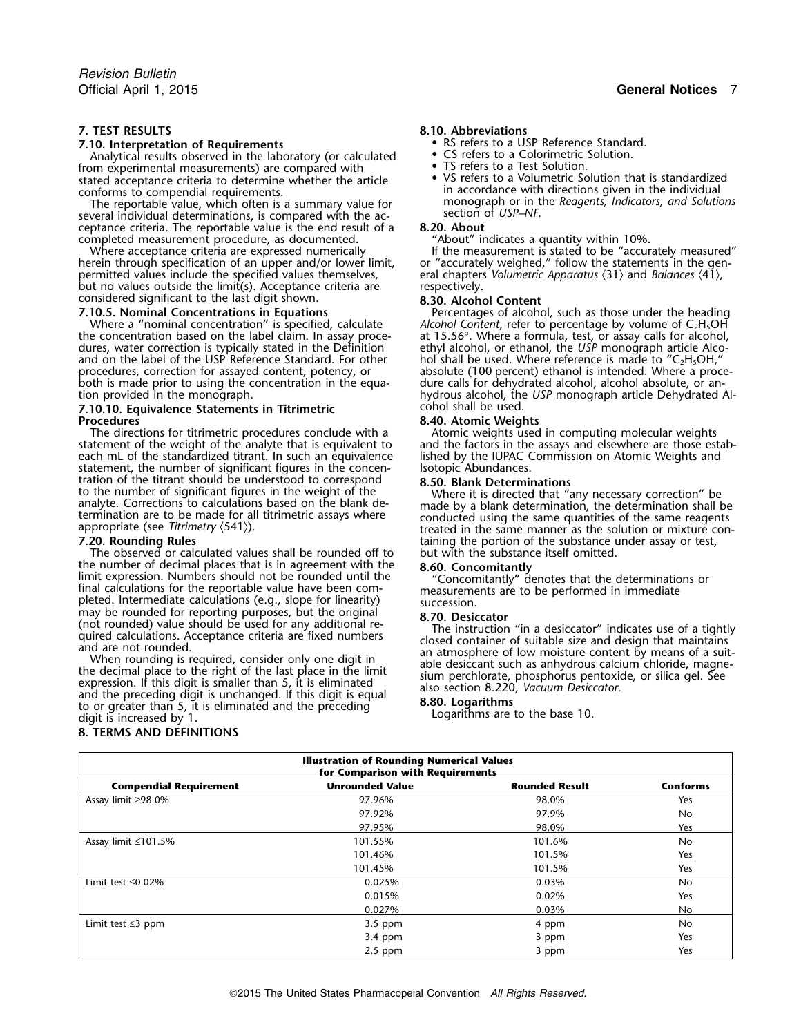**7.10. Interpretation of Requirements** • RS refers to a USP Reference Standard.<br>Analytical results observed in the laboratory (or calculated • CS refers to a Colorimetric Solution. Analytical results observed in the laboratory (or calculated from experimental measurements) are compared with **the setup of the Solution** of IS refers to a Test Solution.<br>stated acceptance criteria to determine whether the article **Comparison Solution** to VS refers to a Volumetric stated acceptance criteria to determine whether the article conforms to compendial requirements.

The reportable value, which often is a summary value for monograph or in the *Reagents of the Individual determinations*, is compared with the *ac*-<br>Individual determinations, is compared with the *ac*several individual determinations, is compared with the ac-<br>
section of example is the end result of a **8.20. About** ceptance criteria. The reportable value is the end result of a **8.20. About** completed measurement procedure, as documented.<br>Where acceptance criteria are expressed numerically

herein through specification of an upper and/or lower limit, permitted values include the specified values themselves, eral chapters *Volumetric Apparatus*  $\langle 31 \rangle$  and *Balances*  $\langle 41 \rangle$ , but no values outside the limit(s). Acceptance criteria are respectively. but no values outside the limit(s). Acceptance criteria are considered significant to the last digit shown. **8.30. Alcohol Content**

Where a "nominal concentration" is specified, calculate the concentration based on the label claim. In assay proce- dures, water correction is typically stated in the Definition and on the label of the USP Reference Standard. For other procedures, correction for assayed content, potency, or absolute (100 percent) ethanol is intended. Where a proce-<br>both is made prior to using the concentration in the equa- dure calls for dehydrated alcohol, alcohol absol both is made prior to using the concentration in the equa-

## **7.10.10. Equivalence Statements in Titrimetric Procedures**

**Procedures 8.40. Atomic Weights** The directions for titrimetric procedures conclude with a Atomic weights used in computing molecular weights statement of the weight of the analyte that is equivalent to and the factors in the assays and elsewhere are thos each mL of the standardized titrant. In such an equivalence lished by the IUPAC Constant in the concension of significant figures in the concension of Abundances. statement, the number of significant figures in the concentration of the titrant should be understood to correspond<br>to the number of significant figures in the weight of the Where it is directed that "a to the number of significant figures in the weight of the<br>analyte. Corrections to calculations based on the blank de-<br>termination, the determination shall be<br>termination are to be made for all titrimetric assays where<br>appr

The observed or calculated values shall be rounded off to the number of decimal places that is in agreement with the **8.60. Concomitantly**<br>limit expression. Numbers should not be rounded until the "Concomitantly" denotes that the determinations or<br>final calculations for the repor pleted. Intermediate calculations (e.g., slope for linearity)  $\frac{\text{succession}}{\text{gray}}$  may be rounded for reporting purposes, but the original

### **8. TERMS AND DEFINITIONS**

### **7. TEST RESULTS 8.10. Abbreviations**

- 
- 
- TS refers to a Test Solution.
- in accordance with directions given in the individual monograph or in the *Reagents, Indicators, and Solutions*

If the measurement is stated to be "accurately measured"<br>or "accurately weighed," follow the statements in the gen-

**7.10.5. Nominal Concentrations in Equations** And the recentages of alcohol, such as those under the heading Alcohol Content, refer to percentage by volume of C<sub>2</sub>H<sub>5</sub>OH at 15.56°. Where a formula, test, or assay calls for alcohol, ethyl alcohol, or ethanol, the *USP* monograph article Alco-<br>hol shall be used. Where reference is made to "C<sub>2</sub>H<sub>5</sub>OH," tion provided in the monograph.<br>**7.10.10. Faujvalence Statements in Titrimetric** entity cohol shall be used.

and the factors in the assays and elsewhere are those estab-<br>lished by the IUPAC Commission on Atomic Weights and

treated in the same manner as the solution or mixture con-**7.20. Rounding Rules 1.20. Rounding Rules** taining the portion of the substance under assay or test,<br>The observed or calculated values shall be rounded off to but with the substance itself omitted.

The instruction "in a desiccator" indicates use of a tightly<br>
(not rounded) value should be used for any additional re-<br>
quired calculations. Acceptance criteria are fixed numbers<br>
and are not rounded.<br>
When rounding is re

| <b>Illustration of Rounding Numerical Values</b><br>for Comparison with Requirements                |           |        |           |  |  |  |  |  |  |
|-----------------------------------------------------------------------------------------------------|-----------|--------|-----------|--|--|--|--|--|--|
| <b>Unrounded Value</b><br><b>Rounded Result</b><br><b>Compendial Requirement</b><br><b>Conforms</b> |           |        |           |  |  |  |  |  |  |
| Assay limit $\geq$ 98.0%                                                                            | 97.96%    | 98.0%  | Yes       |  |  |  |  |  |  |
|                                                                                                     | 97.92%    | 97.9%  | <b>No</b> |  |  |  |  |  |  |
|                                                                                                     | 97.95%    | 98.0%  | Yes       |  |  |  |  |  |  |
| Assay limit $\leq 101.5\%$                                                                          | 101.55%   | 101.6% | <b>No</b> |  |  |  |  |  |  |
|                                                                                                     | 101.46%   | 101.5% | Yes       |  |  |  |  |  |  |
|                                                                                                     | 101.45%   | 101.5% | Yes       |  |  |  |  |  |  |
| Limit test $\leq 0.02\%$                                                                            | 0.025%    | 0.03%  | <b>No</b> |  |  |  |  |  |  |
|                                                                                                     | 0.015%    | 0.02%  | Yes       |  |  |  |  |  |  |
|                                                                                                     | 0.027%    | 0.03%  | <b>No</b> |  |  |  |  |  |  |
| Limit test $\leq$ 3 ppm                                                                             | $3.5$ ppm | 4 ppm  | <b>No</b> |  |  |  |  |  |  |
|                                                                                                     | $3.4$ ppm | 3 ppm  | Yes       |  |  |  |  |  |  |
|                                                                                                     | $2.5$ ppm | 3 ppm  | Yes       |  |  |  |  |  |  |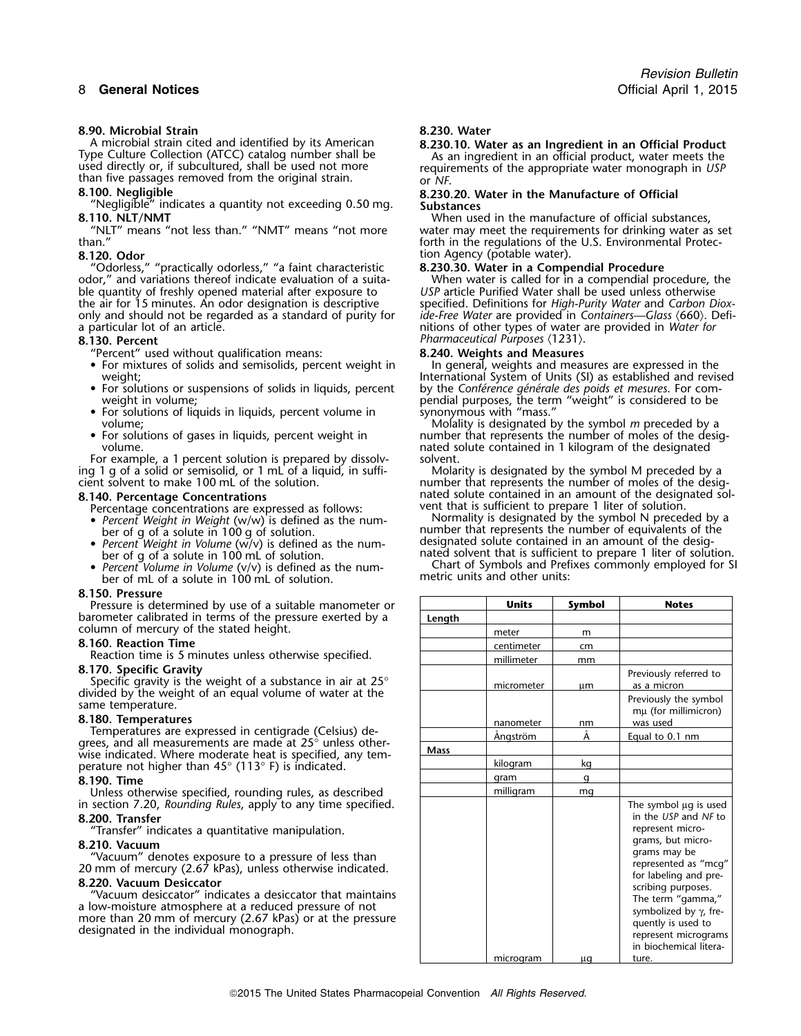### **8.90. Microbial Strain 8.230. Water**

A microbial strain cited and identified by its American<br>Type Culture Collection (ATCC) catalog number shall be<br>used directly or, if subcultured, shall be used not more<br>requirements of the appropriate water monograph in USP than five passages removed from the original strain. or *NF*.

"Negligible" indicates a quantity not exceeding 0.50 mg. **Substances**

"NLT" means "not less than." "NMT" means "not more water may meet the requirements for drinking water as set

"Odorless," "practically odorless," "a faint characteristic **8.230.30. Water in a Compendial Procedure** odor," and variations thereof indicate evaluation of a suita-<br>
USP article Purified Water shall be used unless otherwise<br>
USP article Purified Water shall be used unless otherwise ble quantity of freshly opened material after exposure to *the air for 15 minutes. An odor designation is descriptive* the air for 15 minutes. An odor designation is descriptive specified. Definitions for *High-Purity Water* and *Carbon Diox-*<br>
only and should not be regarded as a standard of purity for *ide-Free Water* are provided in *Co* only and should not be regarded as a standard of purity for *ide-Free Water* are provided in *Containers—Glass* 〈660〉. Defi-

- "Percent" used without qualification means: **8.240. Weights and Measures**
- For mixtures of solids and semisolids, percent weight in  $\bullet$  For mixtures of solids and semisolids, percent weight in  $\qquad \qquad$  In general, weights and measures are expressed in the
- For solutions or suspensions of solids in liquids, percent by the *Conférence générale des poids et mesures*. For com-
- $\bullet$  For solutions of liquids in liquids, percent volume in  $\qquad \qquad \bullet$  synonymous with "mass."
- For solutions of gases in liquids, percent weight in

For example, a 1 percent solution is prepared by dissolving 1 g of a solid or semisolid, or 1 mL of a liquid, in suffi-<br>cient solvent to make 100 mL of the solution. <br>number that represents the number of moles of the designated by the symbol M preceded by a

Percentage concentrations are expressed as follows:

- Percent Weight in Weight (w/w) is defined as the num-
- •*Percent Weight in Volume* ( $\overline{w}/v$ ) is defined as the num-<br>ber of q of a solute in 100 mL of solution.
- Percent Volume in Volume (v/v) is defined as the number of mL of a solute in 100 mL of solution.

### **8.150. Pressure**

### **8.160. Reaction Time**

### 8.190. Time

### **8.200. Transfer**

## **8.100. Negligible 8.230.20. Water in the Manufacture of Official**

**8.110. NLT/NMT** When used in the manufacture of official substances,<br>NLT'' means "not less than." "NMT" means "not more water may meet the requirements for drinking water as" forth in the regulations of the U.S. Environmental Protec-**8.120. Odor** tion Agency (potable water).

nitions of other types of water are provided in *Water for* **8.130. Percent** *Pharmaceutical Purposes* 〈1231〉.

weight; International System of Units (SI) as established and revised weight in volume;<br>For solutions of liquids in liquids, percent volume in pendial purposes, the term "weight" is considered to be

volume; and the symbol *m* preceded by a model is designated by the symbol *m* preceded by a number that represents the number of moles of the desigvolume.<br>In ated solute contained in 1 kilogram of the designated or example, a 1 percent solution is prepared by dissolv

number that represents the number of moles of the desig-**8.140. Percentage Concentrations** nated solute contained in an amount of the designated sol-

*Percent Weight in Weight* (w/w) is defined as the num-<br>*Percent Weight in Weight* (w/w) is defined as the num-<br>ber of g of a solute in 100 g of solution. number that represents the number of equivalents of the designated solute contained in an amount of the designated solvent that is sufficient to prepare 1 liter of solution.

*Perrimeral Chart of Symbols and Prefixes commonly employed for SI metric units and other units:* 

| Pressure is determined by use of a suitable manometer or                                                                      |             | <b>Units</b>    | Symbol | <b>Notes</b>                                  |
|-------------------------------------------------------------------------------------------------------------------------------|-------------|-----------------|--------|-----------------------------------------------|
| barometer calibrated in terms of the pressure exerted by a                                                                    | Length      |                 |        |                                               |
| column of mercury of the stated height.                                                                                       |             | meter           | m      |                                               |
| 8.160. Reaction Time                                                                                                          |             | centimeter      | cm     |                                               |
| Reaction time is 5 minutes unless otherwise specified.                                                                        |             | millimeter      | mm     |                                               |
| 8.170. Specific Gravity<br>Specific gravity is the weight of a substance in air at $25^\circ$                                 |             | micrometer      | μm     | Previously referred to<br>as a micron         |
| divided by the weight of an equal volume of water at the<br>same temperature.                                                 |             |                 |        | Previously the symbol<br>mµ (for millimicron) |
| 8.180. Temperatures                                                                                                           |             | nanometer       | nm     | was used                                      |
| Temperatures are expressed in centigrade (Celsius) de-<br>grees, and all measurements are made at 25 $^{\circ}$ unless other- |             | <b>Angström</b> | Å      | Equal to 0.1 nm                               |
| wise indicated. Where moderate heat is specified, any tem-                                                                    | <b>Mass</b> |                 |        |                                               |
| perature not higher than $45^{\circ}$ (113 $^{\circ}$ F) is indicated.                                                        |             | kilogram        | kq     |                                               |
| 8.190. Time                                                                                                                   |             | gram            | q      |                                               |
| Unless otherwise specified, rounding rules, as described                                                                      |             | milligram       | mq     |                                               |
| in section 7.20, Rounding Rules, apply to any time specified.                                                                 |             |                 |        | The symbol µg is used                         |
| 8.200. Transfer<br>"Transfer" indicates a quantitative manipulation.                                                          |             |                 |        | in the USP and NF to<br>represent micro-      |
| 8.210. Vacuum                                                                                                                 |             |                 |        | grams, but micro-                             |
| "Vacuum" denotes exposure to a pressure of less than                                                                          |             |                 |        | grams may be<br>represented as "mcq"          |
| 20 mm of mercury (2.67 kPas), unless otherwise indicated.                                                                     |             |                 |        | for labeling and pre-                         |
| 8.220. Vacuum Desiccator                                                                                                      |             |                 |        | scribing purposes.                            |
| "Vacuum desiccator" indicates a desiccator that maintains                                                                     |             |                 |        | The term "gamma,"                             |
| a low-moisture atmosphere at a reduced pressure of not<br>more than 20 mm of mercury (2.67 kPas) or at the pressure           |             |                 |        | symbolized by $\gamma$ , fre-                 |
| designated in the individual monograph.                                                                                       |             |                 |        | quently is used to                            |
|                                                                                                                               |             |                 |        | represent micrograms                          |
|                                                                                                                               |             | microgram       |        | in biochemical litera-                        |
|                                                                                                                               |             |                 | μq     | ture.                                         |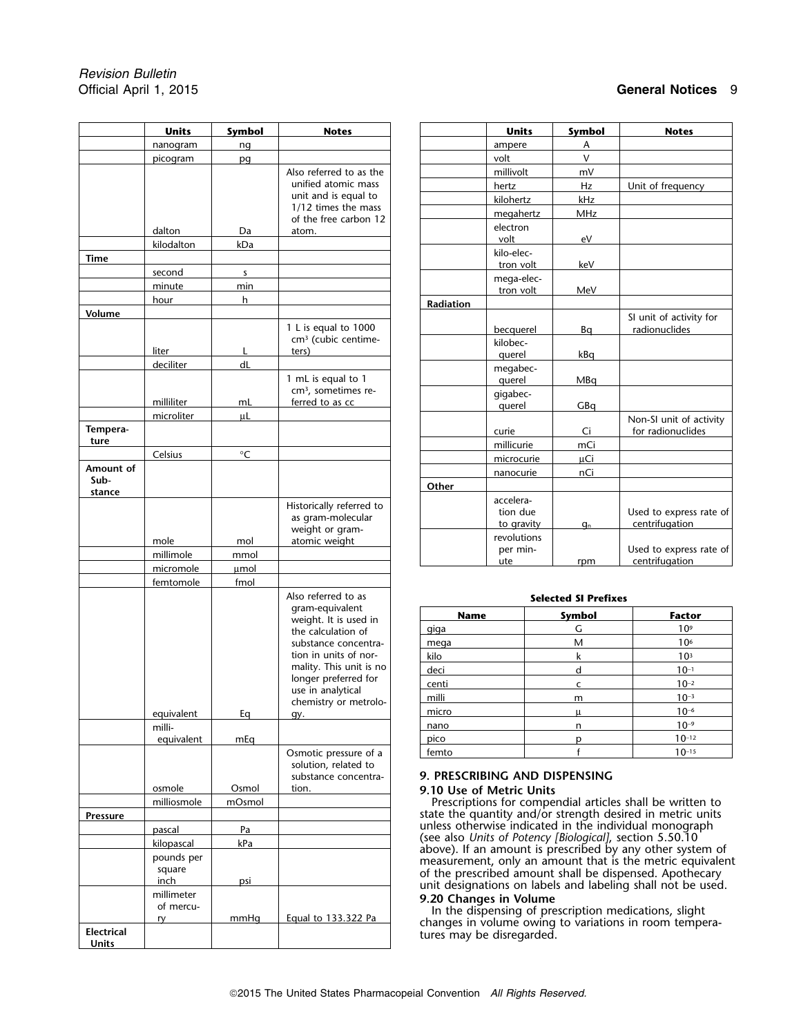### *Revision Bulletin* Official April 1, 2015 **General Notices** 9

| nanogram<br>ampere<br>А<br>ng<br>V<br>volt<br>picogram<br>pq<br>Also referred to as the<br>millivolt<br>mV<br>unified atomic mass<br>Hz<br>hertz<br>Unit of frequency<br>unit and is equal to<br>kHz<br>kilohertz<br>1/12 times the mass<br>MHz<br>megahertz<br>of the free carbon 12<br>electron<br>dalton<br>Da<br>atom.<br>volt<br>eV<br>kilodalton<br>kDa<br>kilo-elec-<br>Time<br>tron volt<br>keV<br>second<br>s<br>mega-elec-<br>minute<br>min<br>tron volt<br>MeV<br>h<br>hour<br>Radiation<br>Volume<br>SI unit of activity for<br>1 L is equal to 1000<br>radionuclides<br>becquerel<br>Bq<br>cm <sup>3</sup> (cubic centime-<br>kilobec-<br>liter<br>L<br>ters)<br>querel<br>kBq<br>dL<br>deciliter<br>megabec-<br>1 mL is equal to 1<br>querel<br>MBq<br>cm <sup>3</sup> , sometimes re-<br>qiqabec-<br>ferred to as cc<br>milliliter<br>mL<br>querel<br>GBq<br>microliter<br>uL<br>Tempera-<br>Ci<br>for radionuclides<br>curie<br>ture<br>mCi<br>millicurie<br>$^{\circ}$ C<br>Celsius<br>иCi<br>microcurie<br>Amount of<br>nCi<br>nanocurie<br>Sub-<br>Other<br>stance<br>accelera-<br>Historically referred to<br>tion due<br>as gram-molecular<br>centrifugation<br>to gravity<br>$q_{n}$<br>weight or gram-<br>revolutions<br>mole<br>atomic weight<br>mol<br>Used to express rate of<br>per min-<br>millimole<br>mmol<br>centrifugation<br>ute<br>rpm<br>micromole<br>umol<br>femtomole<br>fmol<br>Also referred to as<br><b>Selected SI Prefixes</b><br>gram-equivalent<br><b>Name</b><br>Symbol<br>Factor<br>weight. It is used in<br>G<br>10 <sup>9</sup><br><u>qiqa</u><br>the calculation of<br>M<br>10 <sup>6</sup><br>substance concentra-<br>mega<br>tion in units of nor-<br>k<br>10 <sup>3</sup><br>kilo<br>mality. This unit is no<br>deci<br>d<br>$10^{-1}$<br>longer preferred for<br>$10^{-2}$<br>centi<br>$\mathsf{C}$<br>use in analytical<br>milli<br>$10^{-3}$<br>m<br>chemistry or metrolo-<br>micro<br>$10^{-6}$<br>$\mathbf{u}$<br>equivalent<br>Еq<br>qy.<br>$10^{-9}$<br>nano<br>n<br>milli-<br>$10^{-12}$<br>equivalent<br>pico<br>mEq<br>p<br>f<br>$10^{-15}$<br>Osmotic pressure of a<br>femto<br>solution, related to<br>9. PRESCRIBING AND DISPENSING<br>substance concentra-<br>osmole<br>Osmol<br>tion.<br>9.10 Use of Metric Units<br>milliosmole<br>Prescriptions for compendial articles shall be written to<br>mOsmol<br>state the quantity and/or strength desired in metric units<br>Pressure<br>unless otherwise indicated in the individual monograph<br>Pa<br>pascal<br>(see also Units of Potency [Biological], section 5.50.10<br>kilopascal<br>kPa<br>above). If an amount is prescribed by any other system of<br>pounds per<br>measurement, only an amount that is the metric equivalent<br>square<br>of the prescribed amount shall be dispensed. Apothecary<br>inch<br>psi<br>unit designations on labels and labeling shall not be used.<br>millimeter<br>9.20 Changes in Volume<br>of mercu-<br>In the dispensing of prescription medications, slight<br><u>Equal to 133.322 Pa</u><br>mmHq<br>ry<br>changes in volume owing to variations in room tempera-<br><b>Electrical</b><br>tures may be disregarded.<br><b>Units</b> | <b>Units</b> | Symbol | <b>Notes</b> | <b>Units</b> | Symbol | <b>Notes</b>            |
|--------------------------------------------------------------------------------------------------------------------------------------------------------------------------------------------------------------------------------------------------------------------------------------------------------------------------------------------------------------------------------------------------------------------------------------------------------------------------------------------------------------------------------------------------------------------------------------------------------------------------------------------------------------------------------------------------------------------------------------------------------------------------------------------------------------------------------------------------------------------------------------------------------------------------------------------------------------------------------------------------------------------------------------------------------------------------------------------------------------------------------------------------------------------------------------------------------------------------------------------------------------------------------------------------------------------------------------------------------------------------------------------------------------------------------------------------------------------------------------------------------------------------------------------------------------------------------------------------------------------------------------------------------------------------------------------------------------------------------------------------------------------------------------------------------------------------------------------------------------------------------------------------------------------------------------------------------------------------------------------------------------------------------------------------------------------------------------------------------------------------------------------------------------------------------------------------------------------------------------------------------------------------------------------------------------------------------------------------------------------------------------------------------------------------------------------------------------------------------------------------------------------------------------------------------------------------------------------------------------------------------------------------------------------------------------------------------------------------------------------------------------------------------------------------------------------------------------------------------------------------------------------------------------------------------------------------------------------------------------------------------------------------------------------------------------------------------------------------------------------------------------------------------------------------------------------------|--------------|--------|--------------|--------------|--------|-------------------------|
|                                                                                                                                                                                                                                                                                                                                                                                                                                                                                                                                                                                                                                                                                                                                                                                                                                                                                                                                                                                                                                                                                                                                                                                                                                                                                                                                                                                                                                                                                                                                                                                                                                                                                                                                                                                                                                                                                                                                                                                                                                                                                                                                                                                                                                                                                                                                                                                                                                                                                                                                                                                                                                                                                                                                                                                                                                                                                                                                                                                                                                                                                                                                                                                                  |              |        |              |              |        |                         |
|                                                                                                                                                                                                                                                                                                                                                                                                                                                                                                                                                                                                                                                                                                                                                                                                                                                                                                                                                                                                                                                                                                                                                                                                                                                                                                                                                                                                                                                                                                                                                                                                                                                                                                                                                                                                                                                                                                                                                                                                                                                                                                                                                                                                                                                                                                                                                                                                                                                                                                                                                                                                                                                                                                                                                                                                                                                                                                                                                                                                                                                                                                                                                                                                  |              |        |              |              |        |                         |
|                                                                                                                                                                                                                                                                                                                                                                                                                                                                                                                                                                                                                                                                                                                                                                                                                                                                                                                                                                                                                                                                                                                                                                                                                                                                                                                                                                                                                                                                                                                                                                                                                                                                                                                                                                                                                                                                                                                                                                                                                                                                                                                                                                                                                                                                                                                                                                                                                                                                                                                                                                                                                                                                                                                                                                                                                                                                                                                                                                                                                                                                                                                                                                                                  |              |        |              |              |        |                         |
|                                                                                                                                                                                                                                                                                                                                                                                                                                                                                                                                                                                                                                                                                                                                                                                                                                                                                                                                                                                                                                                                                                                                                                                                                                                                                                                                                                                                                                                                                                                                                                                                                                                                                                                                                                                                                                                                                                                                                                                                                                                                                                                                                                                                                                                                                                                                                                                                                                                                                                                                                                                                                                                                                                                                                                                                                                                                                                                                                                                                                                                                                                                                                                                                  |              |        |              |              |        |                         |
|                                                                                                                                                                                                                                                                                                                                                                                                                                                                                                                                                                                                                                                                                                                                                                                                                                                                                                                                                                                                                                                                                                                                                                                                                                                                                                                                                                                                                                                                                                                                                                                                                                                                                                                                                                                                                                                                                                                                                                                                                                                                                                                                                                                                                                                                                                                                                                                                                                                                                                                                                                                                                                                                                                                                                                                                                                                                                                                                                                                                                                                                                                                                                                                                  |              |        |              |              |        |                         |
|                                                                                                                                                                                                                                                                                                                                                                                                                                                                                                                                                                                                                                                                                                                                                                                                                                                                                                                                                                                                                                                                                                                                                                                                                                                                                                                                                                                                                                                                                                                                                                                                                                                                                                                                                                                                                                                                                                                                                                                                                                                                                                                                                                                                                                                                                                                                                                                                                                                                                                                                                                                                                                                                                                                                                                                                                                                                                                                                                                                                                                                                                                                                                                                                  |              |        |              |              |        |                         |
|                                                                                                                                                                                                                                                                                                                                                                                                                                                                                                                                                                                                                                                                                                                                                                                                                                                                                                                                                                                                                                                                                                                                                                                                                                                                                                                                                                                                                                                                                                                                                                                                                                                                                                                                                                                                                                                                                                                                                                                                                                                                                                                                                                                                                                                                                                                                                                                                                                                                                                                                                                                                                                                                                                                                                                                                                                                                                                                                                                                                                                                                                                                                                                                                  |              |        |              |              |        |                         |
|                                                                                                                                                                                                                                                                                                                                                                                                                                                                                                                                                                                                                                                                                                                                                                                                                                                                                                                                                                                                                                                                                                                                                                                                                                                                                                                                                                                                                                                                                                                                                                                                                                                                                                                                                                                                                                                                                                                                                                                                                                                                                                                                                                                                                                                                                                                                                                                                                                                                                                                                                                                                                                                                                                                                                                                                                                                                                                                                                                                                                                                                                                                                                                                                  |              |        |              |              |        |                         |
|                                                                                                                                                                                                                                                                                                                                                                                                                                                                                                                                                                                                                                                                                                                                                                                                                                                                                                                                                                                                                                                                                                                                                                                                                                                                                                                                                                                                                                                                                                                                                                                                                                                                                                                                                                                                                                                                                                                                                                                                                                                                                                                                                                                                                                                                                                                                                                                                                                                                                                                                                                                                                                                                                                                                                                                                                                                                                                                                                                                                                                                                                                                                                                                                  |              |        |              |              |        |                         |
|                                                                                                                                                                                                                                                                                                                                                                                                                                                                                                                                                                                                                                                                                                                                                                                                                                                                                                                                                                                                                                                                                                                                                                                                                                                                                                                                                                                                                                                                                                                                                                                                                                                                                                                                                                                                                                                                                                                                                                                                                                                                                                                                                                                                                                                                                                                                                                                                                                                                                                                                                                                                                                                                                                                                                                                                                                                                                                                                                                                                                                                                                                                                                                                                  |              |        |              |              |        |                         |
|                                                                                                                                                                                                                                                                                                                                                                                                                                                                                                                                                                                                                                                                                                                                                                                                                                                                                                                                                                                                                                                                                                                                                                                                                                                                                                                                                                                                                                                                                                                                                                                                                                                                                                                                                                                                                                                                                                                                                                                                                                                                                                                                                                                                                                                                                                                                                                                                                                                                                                                                                                                                                                                                                                                                                                                                                                                                                                                                                                                                                                                                                                                                                                                                  |              |        |              |              |        |                         |
|                                                                                                                                                                                                                                                                                                                                                                                                                                                                                                                                                                                                                                                                                                                                                                                                                                                                                                                                                                                                                                                                                                                                                                                                                                                                                                                                                                                                                                                                                                                                                                                                                                                                                                                                                                                                                                                                                                                                                                                                                                                                                                                                                                                                                                                                                                                                                                                                                                                                                                                                                                                                                                                                                                                                                                                                                                                                                                                                                                                                                                                                                                                                                                                                  |              |        |              |              |        |                         |
|                                                                                                                                                                                                                                                                                                                                                                                                                                                                                                                                                                                                                                                                                                                                                                                                                                                                                                                                                                                                                                                                                                                                                                                                                                                                                                                                                                                                                                                                                                                                                                                                                                                                                                                                                                                                                                                                                                                                                                                                                                                                                                                                                                                                                                                                                                                                                                                                                                                                                                                                                                                                                                                                                                                                                                                                                                                                                                                                                                                                                                                                                                                                                                                                  |              |        |              |              |        |                         |
|                                                                                                                                                                                                                                                                                                                                                                                                                                                                                                                                                                                                                                                                                                                                                                                                                                                                                                                                                                                                                                                                                                                                                                                                                                                                                                                                                                                                                                                                                                                                                                                                                                                                                                                                                                                                                                                                                                                                                                                                                                                                                                                                                                                                                                                                                                                                                                                                                                                                                                                                                                                                                                                                                                                                                                                                                                                                                                                                                                                                                                                                                                                                                                                                  |              |        |              |              |        |                         |
|                                                                                                                                                                                                                                                                                                                                                                                                                                                                                                                                                                                                                                                                                                                                                                                                                                                                                                                                                                                                                                                                                                                                                                                                                                                                                                                                                                                                                                                                                                                                                                                                                                                                                                                                                                                                                                                                                                                                                                                                                                                                                                                                                                                                                                                                                                                                                                                                                                                                                                                                                                                                                                                                                                                                                                                                                                                                                                                                                                                                                                                                                                                                                                                                  |              |        |              |              |        |                         |
|                                                                                                                                                                                                                                                                                                                                                                                                                                                                                                                                                                                                                                                                                                                                                                                                                                                                                                                                                                                                                                                                                                                                                                                                                                                                                                                                                                                                                                                                                                                                                                                                                                                                                                                                                                                                                                                                                                                                                                                                                                                                                                                                                                                                                                                                                                                                                                                                                                                                                                                                                                                                                                                                                                                                                                                                                                                                                                                                                                                                                                                                                                                                                                                                  |              |        |              |              |        |                         |
|                                                                                                                                                                                                                                                                                                                                                                                                                                                                                                                                                                                                                                                                                                                                                                                                                                                                                                                                                                                                                                                                                                                                                                                                                                                                                                                                                                                                                                                                                                                                                                                                                                                                                                                                                                                                                                                                                                                                                                                                                                                                                                                                                                                                                                                                                                                                                                                                                                                                                                                                                                                                                                                                                                                                                                                                                                                                                                                                                                                                                                                                                                                                                                                                  |              |        |              |              |        |                         |
|                                                                                                                                                                                                                                                                                                                                                                                                                                                                                                                                                                                                                                                                                                                                                                                                                                                                                                                                                                                                                                                                                                                                                                                                                                                                                                                                                                                                                                                                                                                                                                                                                                                                                                                                                                                                                                                                                                                                                                                                                                                                                                                                                                                                                                                                                                                                                                                                                                                                                                                                                                                                                                                                                                                                                                                                                                                                                                                                                                                                                                                                                                                                                                                                  |              |        |              |              |        |                         |
|                                                                                                                                                                                                                                                                                                                                                                                                                                                                                                                                                                                                                                                                                                                                                                                                                                                                                                                                                                                                                                                                                                                                                                                                                                                                                                                                                                                                                                                                                                                                                                                                                                                                                                                                                                                                                                                                                                                                                                                                                                                                                                                                                                                                                                                                                                                                                                                                                                                                                                                                                                                                                                                                                                                                                                                                                                                                                                                                                                                                                                                                                                                                                                                                  |              |        |              |              |        |                         |
|                                                                                                                                                                                                                                                                                                                                                                                                                                                                                                                                                                                                                                                                                                                                                                                                                                                                                                                                                                                                                                                                                                                                                                                                                                                                                                                                                                                                                                                                                                                                                                                                                                                                                                                                                                                                                                                                                                                                                                                                                                                                                                                                                                                                                                                                                                                                                                                                                                                                                                                                                                                                                                                                                                                                                                                                                                                                                                                                                                                                                                                                                                                                                                                                  |              |        |              |              |        |                         |
|                                                                                                                                                                                                                                                                                                                                                                                                                                                                                                                                                                                                                                                                                                                                                                                                                                                                                                                                                                                                                                                                                                                                                                                                                                                                                                                                                                                                                                                                                                                                                                                                                                                                                                                                                                                                                                                                                                                                                                                                                                                                                                                                                                                                                                                                                                                                                                                                                                                                                                                                                                                                                                                                                                                                                                                                                                                                                                                                                                                                                                                                                                                                                                                                  |              |        |              |              |        | Non-SI unit of activity |
|                                                                                                                                                                                                                                                                                                                                                                                                                                                                                                                                                                                                                                                                                                                                                                                                                                                                                                                                                                                                                                                                                                                                                                                                                                                                                                                                                                                                                                                                                                                                                                                                                                                                                                                                                                                                                                                                                                                                                                                                                                                                                                                                                                                                                                                                                                                                                                                                                                                                                                                                                                                                                                                                                                                                                                                                                                                                                                                                                                                                                                                                                                                                                                                                  |              |        |              |              |        |                         |
|                                                                                                                                                                                                                                                                                                                                                                                                                                                                                                                                                                                                                                                                                                                                                                                                                                                                                                                                                                                                                                                                                                                                                                                                                                                                                                                                                                                                                                                                                                                                                                                                                                                                                                                                                                                                                                                                                                                                                                                                                                                                                                                                                                                                                                                                                                                                                                                                                                                                                                                                                                                                                                                                                                                                                                                                                                                                                                                                                                                                                                                                                                                                                                                                  |              |        |              |              |        |                         |
|                                                                                                                                                                                                                                                                                                                                                                                                                                                                                                                                                                                                                                                                                                                                                                                                                                                                                                                                                                                                                                                                                                                                                                                                                                                                                                                                                                                                                                                                                                                                                                                                                                                                                                                                                                                                                                                                                                                                                                                                                                                                                                                                                                                                                                                                                                                                                                                                                                                                                                                                                                                                                                                                                                                                                                                                                                                                                                                                                                                                                                                                                                                                                                                                  |              |        |              |              |        |                         |
|                                                                                                                                                                                                                                                                                                                                                                                                                                                                                                                                                                                                                                                                                                                                                                                                                                                                                                                                                                                                                                                                                                                                                                                                                                                                                                                                                                                                                                                                                                                                                                                                                                                                                                                                                                                                                                                                                                                                                                                                                                                                                                                                                                                                                                                                                                                                                                                                                                                                                                                                                                                                                                                                                                                                                                                                                                                                                                                                                                                                                                                                                                                                                                                                  |              |        |              |              |        |                         |
|                                                                                                                                                                                                                                                                                                                                                                                                                                                                                                                                                                                                                                                                                                                                                                                                                                                                                                                                                                                                                                                                                                                                                                                                                                                                                                                                                                                                                                                                                                                                                                                                                                                                                                                                                                                                                                                                                                                                                                                                                                                                                                                                                                                                                                                                                                                                                                                                                                                                                                                                                                                                                                                                                                                                                                                                                                                                                                                                                                                                                                                                                                                                                                                                  |              |        |              |              |        |                         |
|                                                                                                                                                                                                                                                                                                                                                                                                                                                                                                                                                                                                                                                                                                                                                                                                                                                                                                                                                                                                                                                                                                                                                                                                                                                                                                                                                                                                                                                                                                                                                                                                                                                                                                                                                                                                                                                                                                                                                                                                                                                                                                                                                                                                                                                                                                                                                                                                                                                                                                                                                                                                                                                                                                                                                                                                                                                                                                                                                                                                                                                                                                                                                                                                  |              |        |              |              |        |                         |
|                                                                                                                                                                                                                                                                                                                                                                                                                                                                                                                                                                                                                                                                                                                                                                                                                                                                                                                                                                                                                                                                                                                                                                                                                                                                                                                                                                                                                                                                                                                                                                                                                                                                                                                                                                                                                                                                                                                                                                                                                                                                                                                                                                                                                                                                                                                                                                                                                                                                                                                                                                                                                                                                                                                                                                                                                                                                                                                                                                                                                                                                                                                                                                                                  |              |        |              |              |        | Used to express rate of |
|                                                                                                                                                                                                                                                                                                                                                                                                                                                                                                                                                                                                                                                                                                                                                                                                                                                                                                                                                                                                                                                                                                                                                                                                                                                                                                                                                                                                                                                                                                                                                                                                                                                                                                                                                                                                                                                                                                                                                                                                                                                                                                                                                                                                                                                                                                                                                                                                                                                                                                                                                                                                                                                                                                                                                                                                                                                                                                                                                                                                                                                                                                                                                                                                  |              |        |              |              |        |                         |
|                                                                                                                                                                                                                                                                                                                                                                                                                                                                                                                                                                                                                                                                                                                                                                                                                                                                                                                                                                                                                                                                                                                                                                                                                                                                                                                                                                                                                                                                                                                                                                                                                                                                                                                                                                                                                                                                                                                                                                                                                                                                                                                                                                                                                                                                                                                                                                                                                                                                                                                                                                                                                                                                                                                                                                                                                                                                                                                                                                                                                                                                                                                                                                                                  |              |        |              |              |        |                         |
|                                                                                                                                                                                                                                                                                                                                                                                                                                                                                                                                                                                                                                                                                                                                                                                                                                                                                                                                                                                                                                                                                                                                                                                                                                                                                                                                                                                                                                                                                                                                                                                                                                                                                                                                                                                                                                                                                                                                                                                                                                                                                                                                                                                                                                                                                                                                                                                                                                                                                                                                                                                                                                                                                                                                                                                                                                                                                                                                                                                                                                                                                                                                                                                                  |              |        |              |              |        |                         |
|                                                                                                                                                                                                                                                                                                                                                                                                                                                                                                                                                                                                                                                                                                                                                                                                                                                                                                                                                                                                                                                                                                                                                                                                                                                                                                                                                                                                                                                                                                                                                                                                                                                                                                                                                                                                                                                                                                                                                                                                                                                                                                                                                                                                                                                                                                                                                                                                                                                                                                                                                                                                                                                                                                                                                                                                                                                                                                                                                                                                                                                                                                                                                                                                  |              |        |              |              |        |                         |
|                                                                                                                                                                                                                                                                                                                                                                                                                                                                                                                                                                                                                                                                                                                                                                                                                                                                                                                                                                                                                                                                                                                                                                                                                                                                                                                                                                                                                                                                                                                                                                                                                                                                                                                                                                                                                                                                                                                                                                                                                                                                                                                                                                                                                                                                                                                                                                                                                                                                                                                                                                                                                                                                                                                                                                                                                                                                                                                                                                                                                                                                                                                                                                                                  |              |        |              |              |        |                         |
|                                                                                                                                                                                                                                                                                                                                                                                                                                                                                                                                                                                                                                                                                                                                                                                                                                                                                                                                                                                                                                                                                                                                                                                                                                                                                                                                                                                                                                                                                                                                                                                                                                                                                                                                                                                                                                                                                                                                                                                                                                                                                                                                                                                                                                                                                                                                                                                                                                                                                                                                                                                                                                                                                                                                                                                                                                                                                                                                                                                                                                                                                                                                                                                                  |              |        |              |              |        |                         |
|                                                                                                                                                                                                                                                                                                                                                                                                                                                                                                                                                                                                                                                                                                                                                                                                                                                                                                                                                                                                                                                                                                                                                                                                                                                                                                                                                                                                                                                                                                                                                                                                                                                                                                                                                                                                                                                                                                                                                                                                                                                                                                                                                                                                                                                                                                                                                                                                                                                                                                                                                                                                                                                                                                                                                                                                                                                                                                                                                                                                                                                                                                                                                                                                  |              |        |              |              |        |                         |
|                                                                                                                                                                                                                                                                                                                                                                                                                                                                                                                                                                                                                                                                                                                                                                                                                                                                                                                                                                                                                                                                                                                                                                                                                                                                                                                                                                                                                                                                                                                                                                                                                                                                                                                                                                                                                                                                                                                                                                                                                                                                                                                                                                                                                                                                                                                                                                                                                                                                                                                                                                                                                                                                                                                                                                                                                                                                                                                                                                                                                                                                                                                                                                                                  |              |        |              |              |        |                         |
|                                                                                                                                                                                                                                                                                                                                                                                                                                                                                                                                                                                                                                                                                                                                                                                                                                                                                                                                                                                                                                                                                                                                                                                                                                                                                                                                                                                                                                                                                                                                                                                                                                                                                                                                                                                                                                                                                                                                                                                                                                                                                                                                                                                                                                                                                                                                                                                                                                                                                                                                                                                                                                                                                                                                                                                                                                                                                                                                                                                                                                                                                                                                                                                                  |              |        |              |              |        |                         |
|                                                                                                                                                                                                                                                                                                                                                                                                                                                                                                                                                                                                                                                                                                                                                                                                                                                                                                                                                                                                                                                                                                                                                                                                                                                                                                                                                                                                                                                                                                                                                                                                                                                                                                                                                                                                                                                                                                                                                                                                                                                                                                                                                                                                                                                                                                                                                                                                                                                                                                                                                                                                                                                                                                                                                                                                                                                                                                                                                                                                                                                                                                                                                                                                  |              |        |              |              |        |                         |
|                                                                                                                                                                                                                                                                                                                                                                                                                                                                                                                                                                                                                                                                                                                                                                                                                                                                                                                                                                                                                                                                                                                                                                                                                                                                                                                                                                                                                                                                                                                                                                                                                                                                                                                                                                                                                                                                                                                                                                                                                                                                                                                                                                                                                                                                                                                                                                                                                                                                                                                                                                                                                                                                                                                                                                                                                                                                                                                                                                                                                                                                                                                                                                                                  |              |        |              |              |        |                         |
|                                                                                                                                                                                                                                                                                                                                                                                                                                                                                                                                                                                                                                                                                                                                                                                                                                                                                                                                                                                                                                                                                                                                                                                                                                                                                                                                                                                                                                                                                                                                                                                                                                                                                                                                                                                                                                                                                                                                                                                                                                                                                                                                                                                                                                                                                                                                                                                                                                                                                                                                                                                                                                                                                                                                                                                                                                                                                                                                                                                                                                                                                                                                                                                                  |              |        |              |              |        |                         |
|                                                                                                                                                                                                                                                                                                                                                                                                                                                                                                                                                                                                                                                                                                                                                                                                                                                                                                                                                                                                                                                                                                                                                                                                                                                                                                                                                                                                                                                                                                                                                                                                                                                                                                                                                                                                                                                                                                                                                                                                                                                                                                                                                                                                                                                                                                                                                                                                                                                                                                                                                                                                                                                                                                                                                                                                                                                                                                                                                                                                                                                                                                                                                                                                  |              |        |              |              |        |                         |
|                                                                                                                                                                                                                                                                                                                                                                                                                                                                                                                                                                                                                                                                                                                                                                                                                                                                                                                                                                                                                                                                                                                                                                                                                                                                                                                                                                                                                                                                                                                                                                                                                                                                                                                                                                                                                                                                                                                                                                                                                                                                                                                                                                                                                                                                                                                                                                                                                                                                                                                                                                                                                                                                                                                                                                                                                                                                                                                                                                                                                                                                                                                                                                                                  |              |        |              |              |        |                         |
|                                                                                                                                                                                                                                                                                                                                                                                                                                                                                                                                                                                                                                                                                                                                                                                                                                                                                                                                                                                                                                                                                                                                                                                                                                                                                                                                                                                                                                                                                                                                                                                                                                                                                                                                                                                                                                                                                                                                                                                                                                                                                                                                                                                                                                                                                                                                                                                                                                                                                                                                                                                                                                                                                                                                                                                                                                                                                                                                                                                                                                                                                                                                                                                                  |              |        |              |              |        |                         |
|                                                                                                                                                                                                                                                                                                                                                                                                                                                                                                                                                                                                                                                                                                                                                                                                                                                                                                                                                                                                                                                                                                                                                                                                                                                                                                                                                                                                                                                                                                                                                                                                                                                                                                                                                                                                                                                                                                                                                                                                                                                                                                                                                                                                                                                                                                                                                                                                                                                                                                                                                                                                                                                                                                                                                                                                                                                                                                                                                                                                                                                                                                                                                                                                  |              |        |              |              |        |                         |
|                                                                                                                                                                                                                                                                                                                                                                                                                                                                                                                                                                                                                                                                                                                                                                                                                                                                                                                                                                                                                                                                                                                                                                                                                                                                                                                                                                                                                                                                                                                                                                                                                                                                                                                                                                                                                                                                                                                                                                                                                                                                                                                                                                                                                                                                                                                                                                                                                                                                                                                                                                                                                                                                                                                                                                                                                                                                                                                                                                                                                                                                                                                                                                                                  |              |        |              |              |        |                         |
|                                                                                                                                                                                                                                                                                                                                                                                                                                                                                                                                                                                                                                                                                                                                                                                                                                                                                                                                                                                                                                                                                                                                                                                                                                                                                                                                                                                                                                                                                                                                                                                                                                                                                                                                                                                                                                                                                                                                                                                                                                                                                                                                                                                                                                                                                                                                                                                                                                                                                                                                                                                                                                                                                                                                                                                                                                                                                                                                                                                                                                                                                                                                                                                                  |              |        |              |              |        |                         |
|                                                                                                                                                                                                                                                                                                                                                                                                                                                                                                                                                                                                                                                                                                                                                                                                                                                                                                                                                                                                                                                                                                                                                                                                                                                                                                                                                                                                                                                                                                                                                                                                                                                                                                                                                                                                                                                                                                                                                                                                                                                                                                                                                                                                                                                                                                                                                                                                                                                                                                                                                                                                                                                                                                                                                                                                                                                                                                                                                                                                                                                                                                                                                                                                  |              |        |              |              |        |                         |
|                                                                                                                                                                                                                                                                                                                                                                                                                                                                                                                                                                                                                                                                                                                                                                                                                                                                                                                                                                                                                                                                                                                                                                                                                                                                                                                                                                                                                                                                                                                                                                                                                                                                                                                                                                                                                                                                                                                                                                                                                                                                                                                                                                                                                                                                                                                                                                                                                                                                                                                                                                                                                                                                                                                                                                                                                                                                                                                                                                                                                                                                                                                                                                                                  |              |        |              |              |        |                         |
|                                                                                                                                                                                                                                                                                                                                                                                                                                                                                                                                                                                                                                                                                                                                                                                                                                                                                                                                                                                                                                                                                                                                                                                                                                                                                                                                                                                                                                                                                                                                                                                                                                                                                                                                                                                                                                                                                                                                                                                                                                                                                                                                                                                                                                                                                                                                                                                                                                                                                                                                                                                                                                                                                                                                                                                                                                                                                                                                                                                                                                                                                                                                                                                                  |              |        |              |              |        |                         |
|                                                                                                                                                                                                                                                                                                                                                                                                                                                                                                                                                                                                                                                                                                                                                                                                                                                                                                                                                                                                                                                                                                                                                                                                                                                                                                                                                                                                                                                                                                                                                                                                                                                                                                                                                                                                                                                                                                                                                                                                                                                                                                                                                                                                                                                                                                                                                                                                                                                                                                                                                                                                                                                                                                                                                                                                                                                                                                                                                                                                                                                                                                                                                                                                  |              |        |              |              |        |                         |
|                                                                                                                                                                                                                                                                                                                                                                                                                                                                                                                                                                                                                                                                                                                                                                                                                                                                                                                                                                                                                                                                                                                                                                                                                                                                                                                                                                                                                                                                                                                                                                                                                                                                                                                                                                                                                                                                                                                                                                                                                                                                                                                                                                                                                                                                                                                                                                                                                                                                                                                                                                                                                                                                                                                                                                                                                                                                                                                                                                                                                                                                                                                                                                                                  |              |        |              |              |        |                         |
|                                                                                                                                                                                                                                                                                                                                                                                                                                                                                                                                                                                                                                                                                                                                                                                                                                                                                                                                                                                                                                                                                                                                                                                                                                                                                                                                                                                                                                                                                                                                                                                                                                                                                                                                                                                                                                                                                                                                                                                                                                                                                                                                                                                                                                                                                                                                                                                                                                                                                                                                                                                                                                                                                                                                                                                                                                                                                                                                                                                                                                                                                                                                                                                                  |              |        |              |              |        |                         |
|                                                                                                                                                                                                                                                                                                                                                                                                                                                                                                                                                                                                                                                                                                                                                                                                                                                                                                                                                                                                                                                                                                                                                                                                                                                                                                                                                                                                                                                                                                                                                                                                                                                                                                                                                                                                                                                                                                                                                                                                                                                                                                                                                                                                                                                                                                                                                                                                                                                                                                                                                                                                                                                                                                                                                                                                                                                                                                                                                                                                                                                                                                                                                                                                  |              |        |              |              |        |                         |
|                                                                                                                                                                                                                                                                                                                                                                                                                                                                                                                                                                                                                                                                                                                                                                                                                                                                                                                                                                                                                                                                                                                                                                                                                                                                                                                                                                                                                                                                                                                                                                                                                                                                                                                                                                                                                                                                                                                                                                                                                                                                                                                                                                                                                                                                                                                                                                                                                                                                                                                                                                                                                                                                                                                                                                                                                                                                                                                                                                                                                                                                                                                                                                                                  |              |        |              |              |        |                         |
|                                                                                                                                                                                                                                                                                                                                                                                                                                                                                                                                                                                                                                                                                                                                                                                                                                                                                                                                                                                                                                                                                                                                                                                                                                                                                                                                                                                                                                                                                                                                                                                                                                                                                                                                                                                                                                                                                                                                                                                                                                                                                                                                                                                                                                                                                                                                                                                                                                                                                                                                                                                                                                                                                                                                                                                                                                                                                                                                                                                                                                                                                                                                                                                                  |              |        |              |              |        |                         |
|                                                                                                                                                                                                                                                                                                                                                                                                                                                                                                                                                                                                                                                                                                                                                                                                                                                                                                                                                                                                                                                                                                                                                                                                                                                                                                                                                                                                                                                                                                                                                                                                                                                                                                                                                                                                                                                                                                                                                                                                                                                                                                                                                                                                                                                                                                                                                                                                                                                                                                                                                                                                                                                                                                                                                                                                                                                                                                                                                                                                                                                                                                                                                                                                  |              |        |              |              |        |                         |
|                                                                                                                                                                                                                                                                                                                                                                                                                                                                                                                                                                                                                                                                                                                                                                                                                                                                                                                                                                                                                                                                                                                                                                                                                                                                                                                                                                                                                                                                                                                                                                                                                                                                                                                                                                                                                                                                                                                                                                                                                                                                                                                                                                                                                                                                                                                                                                                                                                                                                                                                                                                                                                                                                                                                                                                                                                                                                                                                                                                                                                                                                                                                                                                                  |              |        |              |              |        |                         |
|                                                                                                                                                                                                                                                                                                                                                                                                                                                                                                                                                                                                                                                                                                                                                                                                                                                                                                                                                                                                                                                                                                                                                                                                                                                                                                                                                                                                                                                                                                                                                                                                                                                                                                                                                                                                                                                                                                                                                                                                                                                                                                                                                                                                                                                                                                                                                                                                                                                                                                                                                                                                                                                                                                                                                                                                                                                                                                                                                                                                                                                                                                                                                                                                  |              |        |              |              |        |                         |
|                                                                                                                                                                                                                                                                                                                                                                                                                                                                                                                                                                                                                                                                                                                                                                                                                                                                                                                                                                                                                                                                                                                                                                                                                                                                                                                                                                                                                                                                                                                                                                                                                                                                                                                                                                                                                                                                                                                                                                                                                                                                                                                                                                                                                                                                                                                                                                                                                                                                                                                                                                                                                                                                                                                                                                                                                                                                                                                                                                                                                                                                                                                                                                                                  |              |        |              |              |        |                         |

|           | <b>Units</b> | Symbol      | <b>Notes</b>                                            |           | <b>Units</b>       | Symbol | <b>Notes</b>            |
|-----------|--------------|-------------|---------------------------------------------------------|-----------|--------------------|--------|-------------------------|
|           | nanogram     | ng          |                                                         |           | ampere             | Α      |                         |
|           | picogram     | pq          |                                                         |           | volt               | $\vee$ |                         |
|           |              |             | Also referred to as the                                 |           | millivolt          | mV     |                         |
|           |              |             | unified atomic mass                                     |           | hertz              | Hz     | Unit of frequency       |
|           |              |             | unit and is equal to                                    |           | kilohertz          | kHz    |                         |
|           |              |             | 1/12 times the mass                                     |           | megahertz          | MHz    |                         |
|           | dalton       | Da          | of the free carbon 12<br>atom.                          |           | electron           |        |                         |
|           | kilodalton   | kDa         |                                                         |           | volt               | eV     |                         |
| Time      |              |             |                                                         |           | kilo-elec-         |        |                         |
|           |              |             |                                                         |           | tron volt          | keV    |                         |
|           | second       | s           |                                                         |           | mega-elec-         |        |                         |
|           | minute       | min         |                                                         |           | tron volt          | MeV    |                         |
|           | hour         | h           |                                                         | Radiation |                    |        |                         |
| Volume    |              |             |                                                         |           |                    |        | SI unit of activity for |
|           |              |             | 1 L is equal to 1000<br>cm <sup>3</sup> (cubic centime- |           | becquerel          | Bq     | radionuclides           |
|           | liter        |             | ters)                                                   |           | kilobec-           |        |                         |
|           | deciliter    | dL          |                                                         |           | auerel             | kBq    |                         |
|           |              |             | 1 mL is equal to 1                                      |           | megabec-           |        |                         |
|           |              |             | cm <sup>3</sup> , sometimes re-                         |           | querel             | MBq    |                         |
|           | milliliter   | mL          | ferred to as cc                                         |           | qiqabec-<br>querel | GBq    |                         |
|           | microliter   | uL          |                                                         |           |                    |        | Non-SI unit of activity |
| Tempera-  |              |             |                                                         |           | curie              | Ci     | for radionuclides       |
| ture      |              |             |                                                         |           | millicurie         | mCi    |                         |
|           | Celsius      | $^{\circ}C$ |                                                         |           | microcurie         | μCi    |                         |
| Amount of |              |             |                                                         |           | nanocurie          | nCi    |                         |
| Sub-      |              |             |                                                         | Other     |                    |        |                         |
| stance    |              |             |                                                         |           | accelera-          |        |                         |
|           |              |             | Historically referred to                                |           | tion due           |        | Used to express rate of |
|           |              |             | as gram-molecular                                       |           | to gravity         | $q_n$  | centrifugation          |
|           | mole         | mol         | weight or gram-<br>atomic weight                        |           | revolutions        |        |                         |
|           | millimole    | mmol        |                                                         |           | per min-           |        | Used to express rate of |
|           |              |             |                                                         |           | ute                | rpm    | centrifugation          |
|           | micromole    | umol        |                                                         |           |                    |        |                         |

### **Selected SI Prefixes**

|            |     | gram-equivalent<br>weight. It is used in<br>the calculation of<br>substance concentra-<br>tion in units of nor-<br>mality. This unit is no<br>longer preferred for<br>use in analytical<br>chemistry or metrolo-<br>qy. |             |  |        |  |                 |  |
|------------|-----|-------------------------------------------------------------------------------------------------------------------------------------------------------------------------------------------------------------------------|-------------|--|--------|--|-----------------|--|
|            |     |                                                                                                                                                                                                                         | <b>Name</b> |  | Symbol |  | Factor          |  |
|            |     |                                                                                                                                                                                                                         | giga        |  |        |  | 10 <sup>9</sup> |  |
|            |     |                                                                                                                                                                                                                         | mega        |  | М      |  | 10 <sup>6</sup> |  |
|            |     |                                                                                                                                                                                                                         | kilo        |  |        |  | 10 <sup>3</sup> |  |
| equivalent |     |                                                                                                                                                                                                                         | deci        |  |        |  | $10^{-1}$       |  |
|            |     |                                                                                                                                                                                                                         | centi       |  |        |  | $10^{-2}$       |  |
|            |     |                                                                                                                                                                                                                         | milli       |  | m      |  | $10^{-3}$       |  |
|            | Ea  |                                                                                                                                                                                                                         | micro       |  |        |  | $10^{-6}$       |  |
| milli-     |     |                                                                                                                                                                                                                         | nano        |  |        |  | $10^{-9}$       |  |
| equivalent | mEq |                                                                                                                                                                                                                         | pico        |  |        |  | $10^{-12}$      |  |
|            |     | Osmotic pressure of a                                                                                                                                                                                                   | femto       |  |        |  | $10^{-15}$      |  |
|            |     |                                                                                                                                                                                                                         |             |  |        |  |                 |  |

### 9. PRESCRIBING AND DISPENSING

### 9.10 Use of Metric Units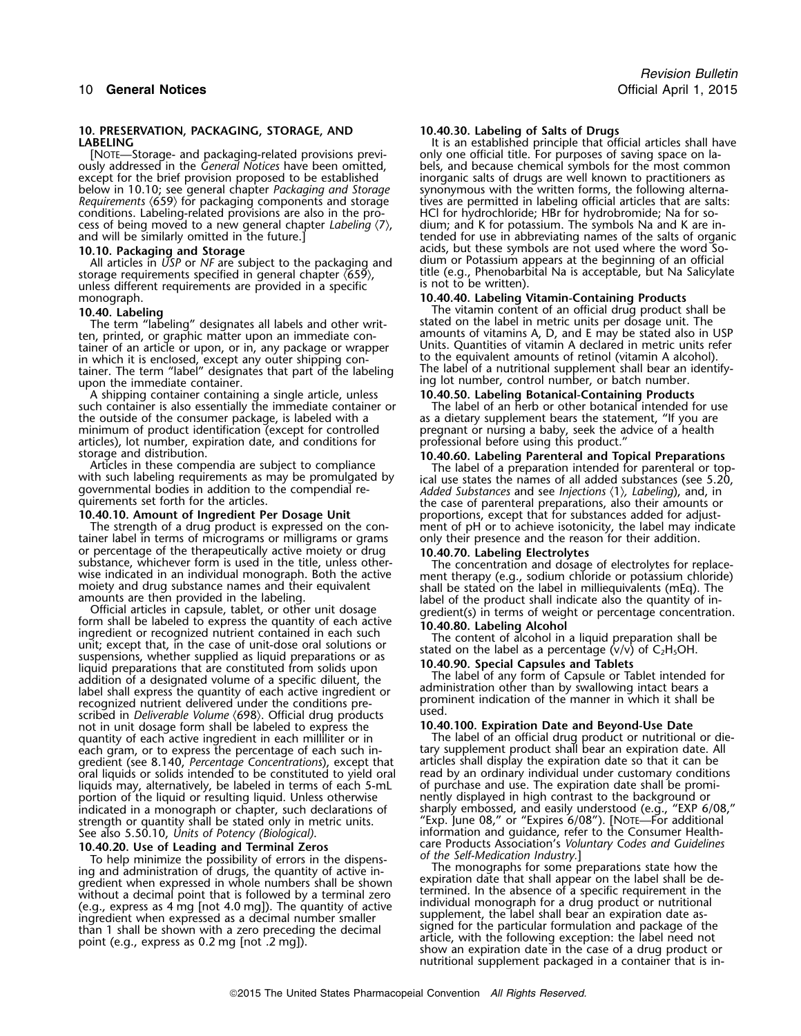## **10. PRESERVATION, PACKAGING, STORAGE, AND 10.40.30. Labeling of Salts of Drugs**

[NOTE—Storage- and packaging-related provisions previ- only one official title. For purposes of saving space on laously addressed in the *General Notices* have been omitted, bels, and because chemical symbols for the most common below in 10.10; see general chapter *Packaging and Storage Requirements*  $(659)$  for packaging components and storage conditions. Labeling-related provisions are also in the pro-<br>cess of being moved to a new general chapter *Labeling*  $\langle 7 \rangle$ , dium; and K for potassium. The symbols Na and K are incess of being moved to a new general chapter *Labeling*  $\langle 7 \rangle$ , and will be similarly omitted in the future.]

All articles in *USP* or NF are subject to the packaging and unless different requirements are provided in a specific monograph. **10.40.40. Labeling Vitamin-Containing Products**

ten, printed, or graphic matter upon an immediate con-<br>tainer of an article or upon, or in, any package or wrapper Units. Quantities of vitamin A declared in metric units refer in which it is enclosed, except any outer shipping con-<br>tainer. The term "label" designates that part of the labeling The label of a nutritional supplement shall bear an identify-<br>upon the immediate container. The term "la

A shipping container containing a single article, unless **10.40.50. Labeling Botanical-Containing Products** such container is also essentially the immediate container or the outside of the consumer package, is labeled with a as a dietary supplement bears the statement, "If you are<br>minimum of product identification (except for controlled pregnant or nursing a baby, seek the advice of a heal minimum of product identification (except for controlled articles), lot number, expiration date, and conditions for professional before using this product."

governmental bodies in addition to the compendial re-<br>quirements set forth for the articles.<br>the case of parenteral preparations also their amounts or

The strength of a drug product is expressed on the con-<br>tainer label in terms of micrograms or milligrams or grams only their presence and the reason for their addition. tainer label in terms of micrograms or milligrams or grams only their presence and the reason for their addition.<br>or percentage of the therapeutically active moiety or drug **10.40.70. Labeling Electrolytes** 

or percentage of the therapeutically active moiety or drug<br>substance, whise indicated in an individual monograph. Both the active<br>substance and the metally and the state wise indicated in an individual monograph. Both the not in unit dosage form shall be labeled to express the **10.40.100. Expiration Date and Beyond-Use Date** quantity of each active ingredient in each milliliter or in The label of an official drug product or nutritional or dieeach gram, or to express the percentage of each such in- tary supplement product shall bear an expiration date. All gredient (see 8.140, *Percentage Concentrations*), except that articles shall display the expiration date so that it can be oral liquids or solids intended to be constituted to yield oral read by an ordinary individual under customary condition<br>liquids may, alternatively, be labeled in terms of each 5-mL of purchase and use. The expiration date liquids may, alternatively, be labeled in terms of each 5-mL of purchase and use. The expiration date shall be prom<br>portion of the liquid or resulting liquid. Unless otherwise hently displayed in high contrast to the backg portion of the liquid or resulting liquid. Unless otherwise indicated in a monograph or chapter, such declarations of indicated in a monograph or chapter, such declarations of sharply embossed, and easily understood (e.g., "EXP 6/08," strength or quantity shall be stated only in metric units. "Exp. June 08," or "Expires 6/08"). [NOTE—For additional

**10.40.20. Use of Leading and Terminal Zeros** care Products Association's Voluntary Codes and Guidelines<br>To help minimize the possibility of errors in the dispens-<br>ing and administration of drugs, the quantity of active in without a decimal point that is followed by a terminal zero termined. In the absence of a specific requirement in the  $\alpha$  express as 4 mg [not 4.0 mg]). The quantity of active individual monograph for a drug product or n

**LABELING**<br>It is an established principle that official articles shall have<br>INOTE—Storage- and packaging-related provisions previ- only one official title. For purposes of saving space on lainorganic salts of drugs are well known to practitioners as synonymous with the written forms, the following alternatives are permitted in labeling official articles that are salts:<br>HCl for hydrochloride; HBr for hydrobromide; Na for sotended for use in abbreviating names of the salts of organic **10.10. Packaging and Storage** acids, but these symbols are not used where the word So-<br>All articles in USP or NF are subject to the packaging and dium or Potassium appears at the beginning of an official storage requirements specified in general chapter  $\langle 659 \rangle$ , title (e.g., Phenobarbital Na is acceptable, but Na Salicylate<br>unless different requirements are provided in a specific

**10.40. Labeling** The vitamin content of an official drug product shall be The term "labeling" designates all labels and other writ-ching stated on the label in metric units per dosage unit. The<br>n, printed, or graphic matter upon an immediate con-ching amounts of vitamins A, D, and E may be state ing lot number, control number, or batch number.<br>10.40.50. Labeling Botanical-Containing Products

## storage and distribution.<br>Articles in these compendia are subject to compliance<br>with such labeling requirements as may be promulgated by ical use states the names of all added substances (see 5.20, quirements set forth for the articles.<br>10.40.10. Amount of Ingredient Per Dosage Unit entity proportions, except that for substances added for adjust-

**10.10. Amount of Ingredient Per Dosage Unit** proportions, except that for substances added for adjust-<br>The strength of a drug product is expressed on the con-<br>ment of pH or to achieve isotonicity, the label may indica

See also 5.50.10, *Units of Potency (Biological)*. information and guidance, refer to the Consumer Health-<br>10.40.20 Use of Leading and Terminal Zeros care Products Association's *Voluntary Codes and Guidelines* 

(e.g., express as 4 mg [not 4.0 mg]). The quantity of active<br>ingredient when expressed as a decimal number smaller<br>than 1 shall be shown with a zero preceding the decimal<br>point (e.g., express as 0.2 mg [not .2 mg]).<br>point nutritional supplement packaged in a container that is in